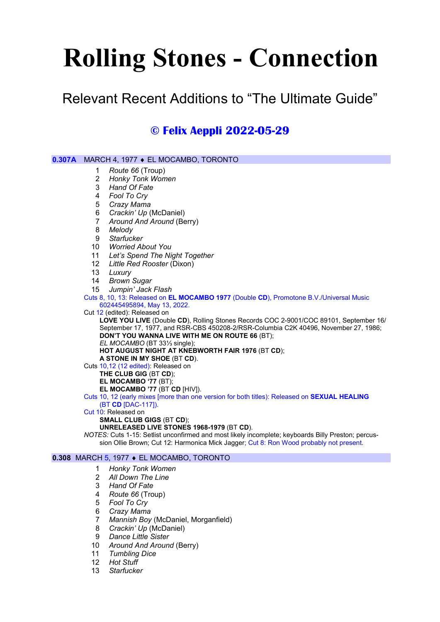# Rolling Stones - Connection

Relevant Recent Additions to "The Ultimate Guide"

# © Felix Aeppli 2022-05-29

| 0.307A | MARCH 4, 1977 ♦ EL MOCAMBO, TORONTO                                                                                                                                          |                                                                                                                           |
|--------|------------------------------------------------------------------------------------------------------------------------------------------------------------------------------|---------------------------------------------------------------------------------------------------------------------------|
|        | 1                                                                                                                                                                            | Route 66 (Troup)                                                                                                          |
|        | 2                                                                                                                                                                            | <b>Honky Tonk Women</b>                                                                                                   |
|        | 3                                                                                                                                                                            | Hand Of Fate                                                                                                              |
|        | 4                                                                                                                                                                            | Fool To Cry                                                                                                               |
|        | 5                                                                                                                                                                            | Crazy Mama                                                                                                                |
|        | 6                                                                                                                                                                            | Crackin' Up (McDaniel)                                                                                                    |
|        | 7                                                                                                                                                                            | Around And Around (Berry)                                                                                                 |
|        | 8                                                                                                                                                                            | Melody                                                                                                                    |
|        | 9                                                                                                                                                                            | <b>Starfucker</b>                                                                                                         |
|        | 10                                                                                                                                                                           | <b>Worried About You</b>                                                                                                  |
|        | 11                                                                                                                                                                           | Let's Spend The Night Together                                                                                            |
|        | 12                                                                                                                                                                           | Little Red Rooster (Dixon)                                                                                                |
|        | 13                                                                                                                                                                           | Luxury                                                                                                                    |
|        | 14                                                                                                                                                                           | <b>Brown Sugar</b>                                                                                                        |
|        | 15                                                                                                                                                                           | Jumpin' Jack Flash                                                                                                        |
|        | Cuts 8, 10, 13: Released on EL MOCAMBO 1977 (Double CD), Promotone B.V./Universal Music                                                                                      |                                                                                                                           |
|        | 602445495894, May 13, 2022.                                                                                                                                                  |                                                                                                                           |
|        | Cut 12 (edited): Released on                                                                                                                                                 |                                                                                                                           |
|        | LOVE YOU LIVE (Double CD), Rolling Stones Records COC 2-9001/COC 89101, September 16/<br>September 17, 1977, and RSR-CBS 450208-2/RSR-Columbia C2K 40496, November 27, 1986; |                                                                                                                           |
|        | DON'T YOU WANNA LIVE WITH ME ON ROUTE 66 (BT);                                                                                                                               |                                                                                                                           |
|        | EL MOCAMBO (BT 331/3 single);                                                                                                                                                |                                                                                                                           |
|        | HOT AUGUST NIGHT AT KNEBWORTH FAIR 1976 (BT CD);                                                                                                                             |                                                                                                                           |
|        | A STONE IN MY SHOE (BT CD).                                                                                                                                                  |                                                                                                                           |
|        | Cuts 10,12 (12 edited): Released on                                                                                                                                          |                                                                                                                           |
|        | THE CLUB GIG (BT CD);                                                                                                                                                        |                                                                                                                           |
|        | EL MOCAMBO '77 (BT);                                                                                                                                                         |                                                                                                                           |
|        | EL MOCAMBO '77 (BT CD [HIV]).                                                                                                                                                |                                                                                                                           |
|        |                                                                                                                                                                              | Cuts 10, 12 (early mixes [more than one version for both titles): Released on <b>SEXUAL HEALING</b><br>(BT CD [DAC-117]). |
|        |                                                                                                                                                                              | Cut 10: Released on                                                                                                       |
|        |                                                                                                                                                                              | <b>SMALL CLUB GIGS (BT CD);</b>                                                                                           |
|        |                                                                                                                                                                              | UNRELEASED LIVE STONES 1968-1979 (BT CD).                                                                                 |
|        |                                                                                                                                                                              | NOTES: Cuts 1-15: Setlist unconfirmed and most likely incomplete; keyboards Billy Preston; percus-                        |
|        |                                                                                                                                                                              | sion Ollie Brown; Cut 12: Harmonica Mick Jagger; Cut 8: Ron Wood probably not present.                                    |
|        |                                                                                                                                                                              | <b>0.308 MARCH 5, 1977 ♦ EL MOCAMBO, TORONTO</b>                                                                          |
|        |                                                                                                                                                                              |                                                                                                                           |
|        | 1                                                                                                                                                                            | Honky Tonk Women                                                                                                          |

- 2 All Down The Line
- 3 Hand Of Fate
- 4 Route 66 (Troup)
- 5 Fool To Cry
	- 6 Crazy Mama
	- 7 Mannish Boy (McDaniel, Morganfield)
	- 8 Crackin' Up (McDaniel)
	- 9 Dance Little Sister
	- 10 Around And Around (Berry)
	- 11 Tumbling Dice
	- 12 Hot Stuff
	- 13 Starfucker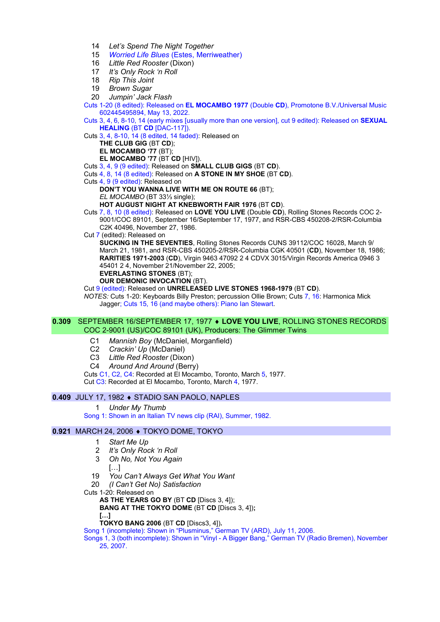- 14 Let's Spend The Night Together
- 15 Worried Life Blues (Estes, Merriweather)
- 16 Little Red Rooster (Dixon)
- 17 It's Only Rock 'n Roll
- 18 Rip This Joint
- 19 Brown Sugar
- 20 Jumpin' Jack Flash

Cuts 1-20 (8 edited): Released on EL MOCAMBO 1977 (Double CD), Promotone B.V./Universal Music 602445495894, May 13, 2022.

Cuts 3, 4, 6, 8-10, 14 (early mixes [usually more than one version], cut 9 edited): Released on SEXUAL HEALING (BT CD [DAC-117]).

Cuts 3, 4, 8-10, 14 (8 edited, 14 faded): Released on

THE CLUB GIG (BT CD):

# EL MOCAMBO '77 (BT);

EL MOCAMBO '77 (BT CD [HIV]).

Cuts 3, 4, 9 (9 edited): Released on SMALL CLUB GIGS (BT CD).

Cuts 4, 8, 14 (8 edited): Released on A STONE IN MY SHOE (BT CD).

Cuts 4, 9 (9 edited): Released on

DON'T YOU WANNA LIVE WITH ME ON ROUTE 66 (BT);

EL MOCAMBO (BT 33⅓ single);

HOT AUGUST NIGHT AT KNEBWORTH FAIR 1976 (BT CD).

Cuts 7, 8, 10 (8 edited): Released on LOVE YOU LIVE (Double CD), Rolling Stones Records COC 2- 9001/COC 89101, September 16/September 17, 1977, and RSR-CBS 450208-2/RSR-Columbia C2K 40496, November 27, 1986.

Cut 7 (edited): Released on

SUCKING IN THE SEVENTIES, Rolling Stones Records CUNS 39112/COC 16028, March 9/ March 21, 1981, and RSR-CBS 450205-2/RSR-Columbia CGK 40501 (CD), November 18, 1986; RARITIES 1971-2003 (CD), Virgin 9463 47092 2 4 CDVX 3015/Virgin Records America 0946 3 45401 2 4, November 21/November 22, 2005;

EVERLASTING STONES (BT);

OUR DEMONIC INVOCATION (BT).

Cut 9 (edited): Released on UNRELEASED LIVE STONES 1968-1979 (BT CD).

NOTES: Cuts 1-20: Keyboards Billy Preston; percussion Ollie Brown; Cuts 7, 16: Harmonica Mick Jagger; Cuts 15, 16 (and maybe others): Piano Ian Stewart.

#### 0.309 SEPTEMBER 16/SEPTEMBER 17, 1977 ♦ LOVE YOU LIVE, ROLLING STONES RECORDS COC 2-9001 (US)/COC 89101 (UK), Producers: The Glimmer Twins

- C1 Mannish Boy (McDaniel, Morganfield)
- C2 Crackin' Up (McDaniel)
- C3 Little Red Rooster (Dixon)
- C4 Around And Around (Berry)

Cuts C1, C2, C4: Recorded at El Mocambo, Toronto, March 5, 1977.

Cut C3: Recorded at El Mocambo, Toronto, March 4, 1977.

## 0.409 JULY 17, 1982 ♦ STADIO SAN PAOLO, NAPLES

1 Under My Thumb

Song 1: Shown in an Italian TV news clip (RAI), Summer, 1982.

## 0.921 MARCH 24, 2006 ♦ TOKYO DOME, TOKYO

- 1 Start Me Up
- 2 It's Only Rock 'n Roll
- 3 Oh No, Not You Again
	- […]
- 19 You Can't Always Get What You Want
- 20 (I Can't Get No) Satisfaction
- Cuts 1-20: Released on

AS THE YEARS GO BY (BT CD [Discs 3, 41);

BANG AT THE TOKYO DOME (BT CD [Discs 3, 4]); […]

TOKYO BANG 2006 (BT CD [Discs3, 4]).

Song 1 (incomplete): Shown in "Plusminus," German TV (ARD), July 11, 2006.

Songs 1, 3 (both incomplete): Shown in "Vinyl - A Bigger Bang," German TV (Radio Bremen), November 25, 2007.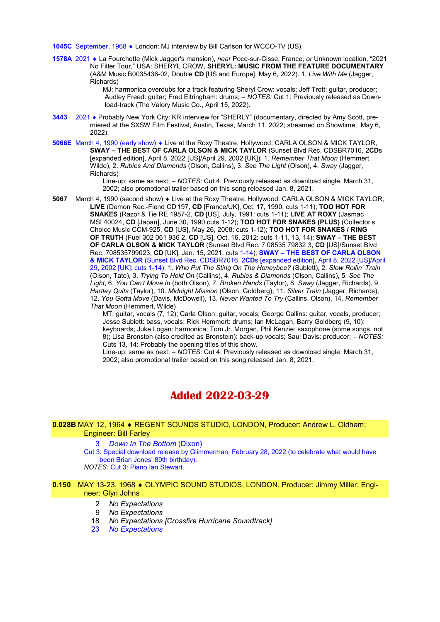1045C September, 1968 • London: MJ interview by Bill Carlson for WCCO-TV (US).

1578A 2021 La Fourchette (Mick Jagger's mansion), near Poce-sur-Cisse, France, or Unknown location, "2021 No Filter Tour," USA: SHERYL CROW, SHERYL: MUSIC FROM THE FEATURE DOCUMENTARY (A&M Music B0035436-02, Double CD [US and Europe], May 6, 2022). 1. Live With Me (Jagger, Richards)

MJ: harmonica overdubs for a track featuring Sheryl Crow: vocals; Jeff Trott: guitar, producer; Audley Freed: guitar; Fred Eltringham: drums; – NOTES: Cut 1: Previously released as Download-track (The Valory Music Co., April 15, 2022).

- 3443 2021 Probably New York City: KR interview for "SHERLY" (documentary, directed by Amy Scott, premiered at the SXSW Film Festival, Austin, Texas, March 11, 2022; streamed on Showtime, May 6, 2022).
- 5066E March 4, 1990 (early show)  $\bullet$  Live at the Roxy Theatre, Hollywood: CARLA OLSON & MICK TAYLOR, SWAY – THE BEST OF CARLA OLSON & MICK TAYLOR (Sunset Blvd Rec. CDSBR7016, 2CDs [expanded edition], April 8, 2022 [US]/April 29, 2002 [UK]): 1. Remember That Moon (Hemmert, Wilde), 2. Rubies And Diamonds (Olson, Callins), 3. See The Light (Olson), 4. Sway (Jagger, Richards)

Line-up: same as next; – NOTES: Cut 4: Previously released as download single, March 31, 2002; also promotional trailer based on this song released Jan. 8, 2021.

5067 March 4, 1990 (second show)  $\bullet$  Live at the Roxy Theatre, Hollywood: CARLA OLSON & MICK TAYLOR, LIVE (Demon Rec.-Fiend CD 197, CD [France/UK], Oct. 17, 1990: cuts 1-11); TOO HOT FOR SNAKES (Razor & Tie RE 1987-2, CD [US], July, 1991: cuts 1-11); LIVE AT ROXY (Jasmac MSI 40024, CD [Japan], June 30, 1990 cuts 1-12); TOO HOT FOR SNAKES (PLUS) (Collector's Choice Music CCM-925, CD [US], May 26, 2008: cuts 1-12); TOO HOT FOR SNAKES / RING OF TRUTH (Fuel 302 061 936 2, CD [US], Oct. 16, 2012: cuts 1-11, 13, 14); SWAY – THE BEST OF CARLA OLSON & MICK TAYLOR (Sunset Blvd Rec. 7 08535 79832 3, CD [US]/Sunset Blvd Rec. 708535799023, CD [UK], Jan. 15, 2021: cuts 1-14); SWAY – THE BEST OF CARLA OLSON & MICK TAYLOR (Sunset Blvd Rec. CDSBR7016, 2CDs [expanded edition], April 8, 2022 [US]/April 29, 2002 [UK]: cuts 1-14): 1. Who Put The Sting On The Honeybee? (Sublett), 2. Slow Rollin' Train (Olson, Tate), 3. Trying To Hold On (Callins), 4. Rubies & Diamonds (Olson, Callins), 5. See The Light, 6. You Can't Move In (both Olson), 7. Broken Hands (Taylor), 8. Sway (Jagger, Richards), 9. Hartley Quits (Taylor), 10. Midnight Mission (Olson, Goldberg), 11. Silver Train (Jagger, Richards), 12. You Gotta Move (Davis, McDowell), 13. Never Wanted To Try (Callins, Olson), 14. Remember That Moon (Hemmert, Wilde)

MT: guitar, vocals (7, 12); Carla Olson: guitar, vocals; George Callins: guitar, vocals, producer; Jesse Sublett: bass, vocals; Rick Hemmert: drums; Ian McLagan, Barry Goldberg (9, 10): keyboards; Juke Logan: harmonica; Tom Jr. Morgan, Phil Kenzie: saxophone (some songs, not 8); Lisa Bronston (also credited as Bronstein): back-up vocals; Saul Davis: producer; – NOTES: Cuts 13, 14: Probably the opening titles of this show.

Line-up: same as next; – NOTES: Cut 4: Previously released as download single, March 31, 2002; also promotional trailer based on this song released Jan. 8, 2021.

# Added 2022-03-29

#### 0.028B MAY 12, 1964 REGENT SOUNDS STUDIO, LONDON, Producer: Andrew L. Oldham; Engineer: Bill Farley

#### 3 Down In The Bottom (Dixon)

Cut 3: Special download release by Glimmerman, February 28, 2022 (to celebrate what would have been Brian Jones' 80th birthday).

NOTES: Cut 3: Piano Ian Stewart.

#### 0.150 MAY 13-23, 1968 ♦ OLYMPIC SOUND STUDIOS, LONDON, Producer: Jimmy Miller; Engineer: Glyn Johns

- 2 No Expectations
- 9 No Expectations
- 18 No Expectations [Crossfire Hurricane Soundtrack]
- 23 No Expectations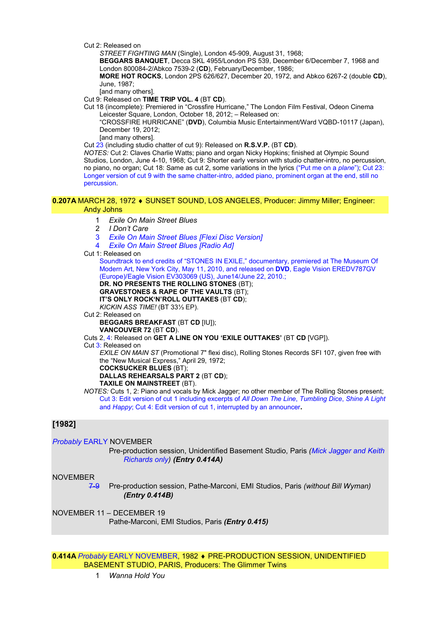Cut 2: Released on

STREET FIGHTING MAN (Single), London 45-909, August 31, 1968;

BEGGARS BANQUET, Decca SKL 4955/London PS 539, December 6/December 7, 1968 and London 800084-2/Abkco 7539-2 (CD), February/December, 1986;

MORE HOT ROCKS, London 2PS 626/627, December 20, 1972, and Abkco 6267-2 (double CD), June, 1987;

[and many others].

Cut 9: Released on TIME TRIP VOL. 4 (BT CD).

Cut 18 (incomplete): Premiered in "Crossfire Hurricane," The London Film Festival, Odeon Cinema Leicester Square, London, October 18, 2012; – Released on:

"CROSSFIRE HURRICANE" (DVD), Columbia Music Entertainment/Ward VQBD-10117 (Japan), December 19, 2012;

[and many others].

Cut 23 (including studio chatter of cut 9): Released on R.S.V.P. (BT CD).

NOTES: Cut 2: Claves Charlie Watts; piano and organ Nicky Hopkins; finished at Olympic Sound Studios, London, June 4-10, 1968; Cut 9: Shorter early version with studio chatter-intro, no percussion, no piano, no organ; Cut 18: Same as cut 2, some variations in the lyrics ("Put me on a plane"); Cut 23: Longer version of cut 9 with the same chatter-intro, added piano, prominent organ at the end, still no percussion.

#### 0.207A MARCH 28, 1972 ♦ SUNSET SOUND, LOS ANGELES, Producer: Jimmy Miller: Engineer: Andy Johns

- 1 Exile On Main Street Blues
- 2 I Don't Care
- 3 Exile On Main Street Blues [Flexi Disc Version]
- **Exile On Main Street Blues [Radio Ad]**
- Cut 1: Released on

Soundtrack to end credits of "STONES IN EXILE," documentary, premiered at The Museum Of Modern Art, New York City, May 11, 2010, and released on DVD, Eagle Vision EREDV787GV (Europe)/Eagle Vision EV303069 (US), June14/June 22, 2010.; DR. NO PRESENTS THE ROLLING STONES (BT);

GRAVESTONES & RAPE OF THE VAULTS (BT);

IT'S ONLY ROCK'N'ROLL OUTTAKES (BT CD);

KICKIN ASS TIME! (BT 33⅓ EP).

Cut 2: Released on

BEGGARS BREAKFAST (BT CD [IU]); VANCOUVER 72 (BT CD).

Cuts 2, 4: Released on GET A LINE ON YOU 'EXILE OUTTAKES' (BT CD [VGP]).

Cut 3: Released on

EXILE ON MAIN ST (Promotional 7" flexi disc), Rolling Stones Records SFI 107, given free with the "New Musical Express," April 29, 1972; COCKSUCKER BLUES (BT);

DALLAS REHEARSALS PART 2 (BT CD);

#### TAXILE ON MAINSTREET (BT).

NOTES: Cuts 1, 2: Piano and vocals by Mick Jagger; no other member of The Rolling Stones present; Cut 3: Edit version of cut 1 including excerpts of All Down The Line, Tumbling Dice, Shine A Light and Happy; Cut 4: Edit version of cut 1, interrupted by an announcer.

# [1982]

Probably EARLY NOVEMBER

Pre-production session, Unidentified Basement Studio, Paris (Mick Jagger and Keith Richards only) (Entry 0.414A)

# NOVEMBER

7-9 Pre-production session, Pathe-Marconi, EMI Studios, Paris (without Bill Wyman) (Entry 0.414B)

NOVEMBER 11 – DECEMBER 19 Pathe-Marconi, EMI Studios, Paris (Entry 0.415)

0.414A Probably EARLY NOVEMBER, 1982 PRE-PRODUCTION SESSION, UNIDENTIFIED BASEMENT STUDIO, PARIS, Producers: The Glimmer Twins

1 Wanna Hold You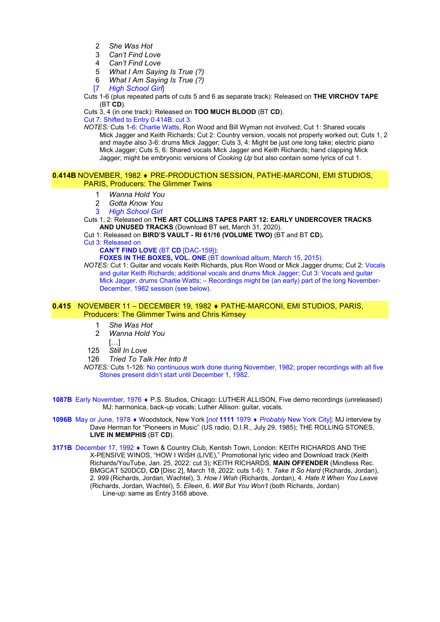- 2 She Was Hot
- 3 Can't Find Love
- 4 Can't Find Love
- 5 What I Am Saying Is True (?)
- 6 What I Am Saying Is True (?)
- [7 High School Girl]

Cuts 1-6 (plus repeated parts of cuts 5 and 6 as separate track): Released on THE VIRCHOV TAPE  $(BT$  CD).

Cuts 3, 4 (in one track): Released on TOO MUCH BLOOD (BT CD).

Cut 7: Shifted to Entry 0.414B: cut 3.

NOTES: Cuts 1-6: Charlie Watts, Ron Wood and Bill Wyman not involved; Cut 1: Shared vocals Mick Jagger and Keith Richards; Cut 2: Country version, vocals not properly worked out; Cuts 1, 2 and maybe also 3-6: drums Mick Jagger; Cuts 3, 4: Might be just one long take; electric piano Mick Jagger; Cuts 5, 6: Shared vocals Mick Jagger and Keith Richards; hand clapping Mick Jagger; might be embryonic versions of Cooking Up but also contain some lyrics of cut 1.

#### 0.414B NOVEMBER, 1982 PRE-PRODUCTION SESSION, PATHE-MARCONI, EMI STUDIOS, PARIS, Producers: The Glimmer Twins

- 1 Wanna Hold You
- 2 Gotta Know You
- 3 High School Girl

Cuts 1, 2: Released on THE ART COLLINS TAPES PART 12: EARLY UNDERCOVER TRACKS AND UNUSED TRACKS (Download BT set, March 31, 2020).

Cut 1: Released on BIRD'S VAULT - RI 61/16 (VOLUME TWO) (BT and BT CD).

Cut 3: Released on

CAN'T FIND LOVE (BT CD [DAC-159]);

FOXES IN THE BOXES, VOL. ONE (BT download album, March 15, 2015).

NOTES: Cut 1: Guitar and vocals Keith Richards, plus Ron Wood or Mick Jagger drums; Cut 2: Vocals and guitar Keith Richards; additional vocals and drums Mick Jagger; Cut 3: Vocals and guitar Mick Jagger, drums Charlie Watts; – Recordings might be (an early) part of the long November-December, 1982 session (see below).

#### 0.415 NOVEMBER 11 – DECEMBER 19, 1982 PATHE-MARCONI, EMI STUDIOS, PARIS, Producers: The Glimmer Twins and Chris Kimsey

- 1 She Was Hot
- 2 Wanna Hold You
	- […]
- 125 Still In Love
- 126 Tried To Talk Her Into It

NOTES: Cuts 1-126: No continuous work done during November, 1982; proper recordings with all five Stones present didn't start until December 1, 1982.

1087B Early November, 1976 • P.S. Studios, Chicago: LUTHER ALLISON, Five demo recordings (unreleased) MJ: harmonica, back-up vocals; Luther Allison: guitar, vocals.

1096B May or June, 1978 • Woodstock, New York [not 1111 1979 • Probably New York City]: MJ interview by Dave Herman for "Pioneers in Music" (US radio, D.I.R., July 29, 1985); THE ROLLING STONES, LIVE IN MEMPHIS (BT CD).

3171B December 17, 1992 • Town & Country Club, Kentish Town, London: KEITH RICHARDS AND THE X-PENSIVE WINOS, "HOW I WISH (LIVE)," Promotional lyric video and Download track (Keith Richards/YouTube, Jan. 25, 2022: cut 3); KEITH RICHARDS, MAIN OFFENDER (Mindless Rec. BMGCAT 520DCD, CD [Disc 2], March 18, 2022: cuts 1-6): 1. Take It So Hard (Richards, Jordan), 2. 999 (Richards, Jordan, Wachtel), 3. How I Wish (Richards, Jordan), 4. Hate It When You Leave (Richards, Jordan, Wachtel), 5. Eileen, 6. Will But You Won't (both Richards, Jordan) Line-up: same as Entry 3168 above.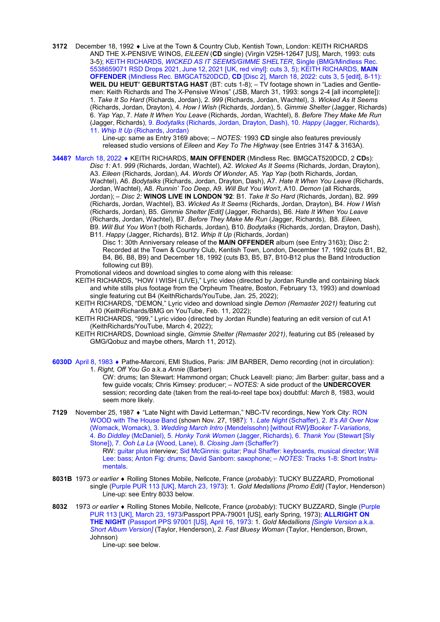3172 December 18, 1992 • Live at the Town & Country Club, Kentish Town, London: KEITH RICHARDS AND THE X-PENSIVE WINOS, EILEEN (CD single) (Virgin V25H-12647 [US], March, 1993; cuts 3-5); KEITH RICHARDS, *WICKED AS IT SEEMS/GIMME SHELTER*, Single (BMG/Mindless Rec. 5538659071 RSD Drops 2021, June 12, 2021 [UK, red vinyl]: cuts 3, 5); KEITH RICHARDS, MAIN OFFENDER (Mindless Rec. BMGCAT520DCD, CD [Disc 2], March 18, 2022: cuts 3, 5 [edit], 8-11): WEIL DU HEUT' GEBURTSTAG HAST (BT: cuts 1-8); - TV footage shown in "Ladies and Gentlemen: Keith Richards and The X-Pensive Winos" (JSB, March 31, 1993: songs 2-4 [all incomplete]): 1. Take It So Hard (Richards, Jordan), 2. 999 (Richards, Jordan, Wachtel), 3. Wicked As It Seems (Richards, Jordan, Drayton), 4. How I Wish (Richards, Jordan), 5. Gimmie Shelter (Jagger, Richards) 6. Yap Yap, 7. Hate It When You Leave (Richards, Jordan, Wachtel), 8. Before They Make Me Run (Jagger, Richards), 9. Bodytalks (Richards, Jordan, Drayton, Dash), 10. Happy (Jagger, Richards), 11. Whip It Up (Richards, Jordan)

> Line-up: same as Entry 3169 above; – NOTES: 1993 CD single also features previously released studio versions of Eileen and Key To The Highway (see Entries 3147 & 3163A).

3448? March 18, 2022 • KEITH RICHARDS, MAIN OFFENDER (Mindless Rec. BMGCAT520DCD, 2 CDs): Disc 1: A1. 999 (Richards, Jordan, Wachtel), A2. Wicked As It Seems (Richards, Jordan, Drayton), A3. Eileen (Richards, Jordan), A4. Words Of Wonder, A5. Yap Yap (both Richards, Jordan, Wachtel), A6. Bodytalks (Richards, Jordan, Drayton, Dash), A7. Hate It When You Leave (Richards, Jordan, Wachtel), A8. Runnin' Too Deep, A9. Will But You Won't, A10. Demon (all Richards, Jordan); - Disc 2: WINOS LIVE IN LONDON '92: B1. Take It So Hard (Richards, Jordan), B2. 999 (Richards, Jordan, Wachtel), B3. Wicked As It Seems (Richards, Jordan, Drayton), B4. How I Wish (Richards, Jordan), B5. Gimmie Shelter [Edit] (Jagger, Richards), B6. Hate It When You Leave (Richards, Jordan, Wachtel), B7. Before They Make Me Run (Jagger, Richards), B8. Eileen, B9. Will But You Won't (both Richards, Jordan), B10. Bodytalks (Richards, Jordan, Drayton, Dash), B11. Happy (Jagger, Richards), B12. Whip It Up (Richards, Jordan)

Disc 1: 30th Anniversary release of the MAIN OFFENDER album (see Entry 3163); Disc 2: Recorded at the Town & Country Club, Kentish Town, London, December 17, 1992 (cuts B1, B2, B4, B6, B8, B9) and December 18, 1992 (cuts B3, B5, B7, B10-B12 plus the Band Introduction following cut B9).

Promotional videos and download singles to come along with this release:

- KEITH RICHARDS, "HOW I WISH (LIVE)," Lyric video (directed by Jordan Rundle and containing black and white stills plus footage from the Orpheum Theatre, Boston, February 13, 1993) and download single featuring cut B4 (KeithRichards/YouTube, Jan. 25, 2022);
- KEITH RICHARDS, "DEMON," Lyric video and download single Demon (Remaster 2021) featuring cut A10 (KeithRichards/BMG on YouTube, Feb. 11, 2022);
- KEITH RICHARDS, "999," Lyric video (directed by Jordan Rundle) featuring an edit version of cut A1 (KeithRichards/YouTube, March 4, 2022);
- KEITH RICHARDS, Download single, Gimmie Shelter (Remaster 2021), featuring cut B5 (released by GMG/Qobuz and maybe others, March 11, 2012).
- 6030D April 8, 1983 Pathe-Marconi, EMI Studios, Paris: JIM BARBER, Demo recording (not in circulation): 1. Right, Off You Go a.k.a Annie (Barber)

CW: drums; Ian Stewart: Hammond organ; Chuck Leavell: piano; Jim Barber: guitar, bass and a few guide vocals; Chris Kimsey: producer; – NOTES: A side product of the UNDERCOVER session; recording date (taken from the real-to-reel tape box) doubtful: March 8, 1983, would seem more likely.

7129 November 25, 1987 ♦ "Late Night with David Letterman," NBC-TV recordings, New York City: RON WOOD with The House Band (shown Nov. 27, 1987): 1. Late Night (Schaffer), 2. It's All Over Now (Womack, Womack), 3. Wedding March Intro (Mendelssohn) [without RWVBooker T-Variations, 4. Bo Diddley (McDaniel), 5. Honky Tonk Women (Jagger, Richards), 6. Thank You (Stewart [Sly Stone]), 7. Ooh La La (Wood, Lane), 8. Closing Jam (Schaffer?)

RW: guitar plus interview; Sid McGinnis: guitar; Paul Shaffer: keyboards, musical director; Will Lee: bass; Anton Fig: drums; David Sanborn: saxophone; – NOTES: Tracks 1-8: Short Instrumentals.

- 8031B 1973 or earlier Rolling Stones Mobile, Nellcote, France (probably): TUCKY BUZZARD, Promotional single (Purple PUR 113 [UK], March 23, 1973): 1. Gold Medallions [Promo Edit] (Taylor, Henderson) Line-up: see Entry 8033 below.
- 8032 1973 or earlier ◆ Rolling Stones Mobile, Nellcote, France (probably): TUCKY BUZZARD, Single (Purple PUR 113 [UK], March 23, 1973/Passport PPA-79001 [US], early Spring, 1973); ALLRIGHT ON THE NIGHT (Passport PPS 97001 [US], April 16, 1973: 1. Gold Medallions [Single Version a.k.a. Short Album Version] (Taylor, Henderson), 2. Fast Bluesy Woman (Taylor, Henderson, Brown, Johnson)

Line-up: see below.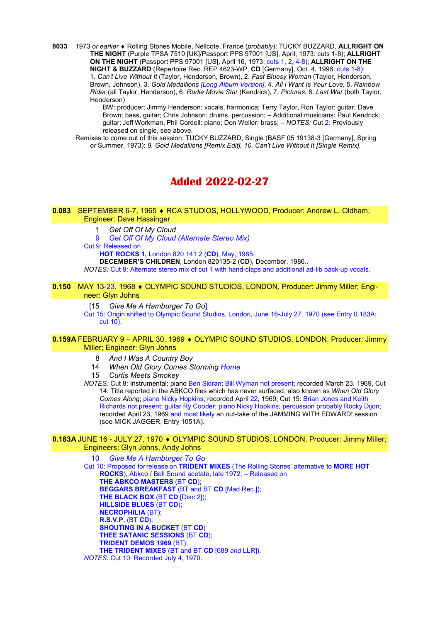8033 1973 or earlier  $\triangleleft$  Rolling Stones Mobile, Nellcote, France (probably): TUCKY BUZZARD, ALLRIGHT ON THE NIGHT (Purple TPSA 7510 [UK]/Passport PPS 97001 [US], April, 1973: cuts 1-8); ALLRIGHT ON THE NIGHT (Passport PPS 97001 [US], April 16, 1973: cuts 1, 2, 4-8); ALLRIGHT ON THE NIGHT & BUZZARD (Repertoire Rec. REP 4623-WP, CD [Germany], Oct. 4, 1996: cuts 1-8): 1. Can't Live Without It (Taylor, Henderson, Brown), 2. Fast Bluesy Woman (Taylor, Henderson, Brown, Johnson), 3. Gold Medallions [Long Album Version], 4. All I Want Is Your Love, 5. Rainbow Rider (all Taylor, Henderson), 6. Rudie Movie Star (Kendrick), 7. Pictures, 8. Last War (both Taylor, Henderson)

BW: producer; Jimmy Henderson: vocals, harmonica; Terry Taylor, Ron Taylor: guitar; Dave Brown: bass, guitar; Chris Johnson: drums, percussion; – Additional musicians: Paul Kendrick: guitar; Jeff Workman, Phil Cordell: piano; Don Weller: brass; – NOTES: Cut 2: Previously released on single, see above.

 Remixes to come out of this session: TUCKY BUZZARD, Single (BASF 05 19138-3 [Germany], Spring or Summer, 1973): 9. Gold Medallions [Remix Edit], 10. Can't Live Without It [Single Remix].

# Added 2022-02-27

0.083 SEPTEMBER 6-7, 1965 ♦ RCA STUDIOS, HOLLYWOOD, Producer: Andrew L. Oldham; Engineer: Dave Hassinger

1 Get Off Of My Cloud

9 Get Off Of My Cloud (Alternate Stereo Mix)

Cut 9: Released on

HOT ROCKS 1, London 820 141 2 (CD), May, 1985;

DECEMBER'S CHILDREN, London 820135-2 (CD), December, 1986..

NOTES: Cut 9: Alternate stereo mix of cut 1 with hand-claps and additional ad-lib back-up vocals.

# 0.150 MAY 13-23, 1968 ♦ OLYMPIC SOUND STUDIOS, LONDON, Producer: Jimmy Miller; Engineer: Glyn Johns

[15 Give Me A Hamburger To Go]

Cut 15: Origin shifted to Olympic Sound Studios, London, June 16-July 27, 1970 (see Entry 0.183A: cut 10).

# 0.159A FEBRUARY 9 - APRIL 30, 1969 ♦ OLYMPIC SOUND STUDIOS, LONDON, Producer: Jimmy Miller; Engineer: Glyn Johns

- 8 And I Was A Country Boy
- 14 When Old Glory Comes Storming Home

15 Curtis Meets Smokey

NOTES: Cut 8: Instrumental; piano Ben Sidran; Bill Wyman not present; recorded March 23, 1969, Cut 14: Title reported in the ABKCO files which has never surfaced; also known as When Old Glory Comes Along; piano Nicky Hopkins; recorded April 22, 1969; Cut 15: Brian Jones and Keith Richards not present; guitar Ry Cooder; piano Nicky Hopkins; percussion probably Rocky Dijon; recorded April 23, 1969 and most likely an out-take of the JAMMING WITH EDWARD! session (see MICK JAGGER, Entry 1051A).

#### 0.183A JUNE 16 - JULY 27, 1970 ♦ OLYMPIC SOUND STUDIOS, LONDON, Producer: Jimmy Miller; Engineers: Glyn Johns, Andy Johns

**Give Me A Hamburger To Go** Cut 10: Proposed forrelease on TRIDENT MIXES (The Rolling Stones' alternative to MORE HOT ROCKS), Abkco / Bell Sound acetate, late 1972; – Released on THE ABKCO MASTERS (BT CD); BEGGARS BREAKFAST (BT and BT CD [Mad Rec.]); THE BLACK BOX (BT CD [Disc 2]); HILLSIDE BLUES (BT CD); NECROPHILIA (BT); R.S.V.P. (BT CD); SHOUTING IN A BUCKET (BT CD) THEE SATANIC SESSIONS (BT CD); TRIDENT DEMOS 1969 (BT); THE TRIDENT MIXES (BT and BT CD [689 and LLR]).

NOTES: Cut 10: Recorded July 4, 1970.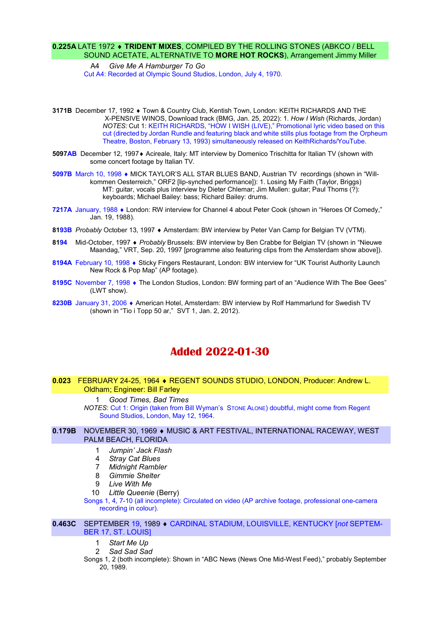# 0.225A LATE 1972 • TRIDENT MIXES, COMPILED BY THE ROLLING STONES (ABKCO / BELL SOUND ACETATE, ALTERNATIVE TO MORE HOT ROCKS), Arrangement Jimmy Miller

A4 Give Me A Hamburger To Go Cut A4: Recorded at Olympic Sound Studios, London, July 4, 1970.

- 3171B December 17, 1992 Town & Country Club, Kentish Town, London: KEITH RICHARDS AND THE X-PENSIVE WINOS, Download track (BMG, Jan. 25, 2022): 1. How I Wish (Richards, Jordan) NOTES: Cut 1: KEITH RICHARDS, "HOW I WISH (LIVE)," Promotional lyric video based on this cut (directed by Jordan Rundle and featuring black and white stills plus footage from the Orpheum Theatre, Boston, February 13, 1993) simultaneously released on KeithRichards/YouTube.
- 5097AB December 12, 1997♦ Acireale, Italy: MT interview by Domenico Trischitta for Italian TV (shown with some concert footage by Italian TV.
- 5097B March 10, 1998 MICK TAYLOR'S ALL STAR BLUES BAND, Austrian TV recordings (shown in "Willkommen Oesterreich," ORF2 [lip-synched performance]): 1. Losing My Faith (Taylor, Briggs) MT: guitar, vocals plus interview by Dieter Chlemar; Jim Mullen: guitar; Paul Thoms (?): keyboards; Michael Bailey: bass; Richard Bailey: drums.
- 7217A January, 1988 London: RW interview for Channel 4 about Peter Cook (shown in "Heroes Of Comedy," Jan. 19, 1988).
- 8193B Probably October 13, 1997 Amsterdam: BW interview by Peter Van Camp for Belgian TV (VTM).
- 8194 Mid-October, 1997 Probably Brussels: BW interview by Ben Crabbe for Belgian TV (shown in "Nieuwe Maandag," VRT, Sep. 20, 1997 [programme also featuring clips from the Amsterdam show above]).
- 8194A February 10, 1998 Sticky Fingers Restaurant, London: BW interview for "UK Tourist Authority Launch New Rock & Pop Map" (AP footage).
- 8195C November 7, 1998 The London Studios, London: BW forming part of an "Audience With The Bee Gees" (LWT show).
- 8230B January 31, 2006 American Hotel, Amsterdam: BW interview by Rolf Hammarlund for Swedish TV (shown in "Tio i Topp 50 ar," SVT 1, Jan. 2, 2012).

# Added 2022-01-30

## 0.023 FEBRUARY 24-25, 1964 REGENT SOUNDS STUDIO, LONDON, Producer: Andrew L. Oldham; Engineer: Bill Farley

 1 Good Times, Bad Times NOTES: Cut 1: Origin (taken from Bill Wyman's STONE ALONE) doubtful, might come from Regent Sound Studios, London, May 12, 1964.

#### 0.179B NOVEMBER 30, 1969 · MUSIC & ART FESTIVAL, INTERNATIONAL RACEWAY, WEST PALM BEACH, FLORIDA

- 1 Jumpin' Jack Flash
- 4 Stray Cat Blues
- 7 Midnight Rambler
- 8 Gimmie Shelter
- 9 Live With Me
- 10 Little Queenie (Berry)

Songs 1, 4, 7-10 (all incomplete): Circulated on video (AP archive footage, professional one-camera recording in colour).

#### 0.463C SEPTEMBER 19, 1989 • CARDINAL STADIUM, LOUISVILLE, KENTUCKY [not SEPTEM-BER 17, ST. LOUIS]

- 1 Start Me Up
- 2 Sad Sad Sad

Songs 1, 2 (both incomplete): Shown in "ABC News (News One Mid-West Feed)," probably September 20, 1989.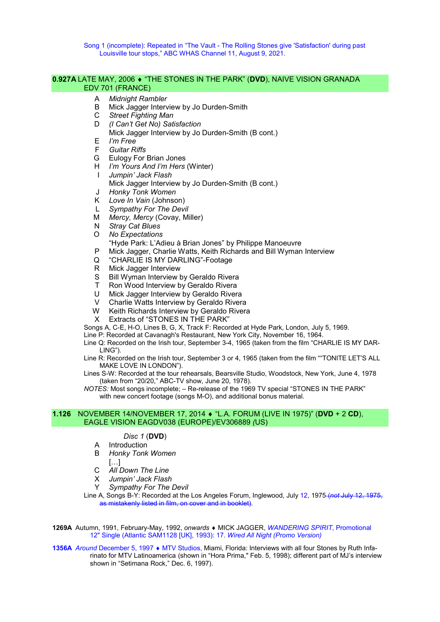Song 1 (incomplete): Repeated in "The Vault - The Rolling Stones give 'Satisfaction' during past Louisville tour stops," ABC WHAS Channel 11, August 9, 2021.

#### 0.927A LATE MAY, 2006 "THE STONES IN THE PARK" (DVD), NAIVE VISION GRANADA EDV 701 (FRANCE)

- A Midnight Rambler
- B Mick Jagger Interview by Jo Durden-Smith
- C Street Fighting Man
- D (I Can't Get No) Satisfaction
	- Mick Jagger Interview by Jo Durden-Smith (B cont.)
- E I'm Free
- F Guitar Riffs
- G Eulogy For Brian Jones
- H *I'm Yours And I'm Hers* (Winter)
- I Jumpin' Jack Flash
- Mick Jagger Interview by Jo Durden-Smith (B cont.)
- J Honky Tonk Women
- K Love In Vain (Johnson)
- L Sympathy For The Devil
- M Mercy, Mercy (Covay, Miller)
- N Stray Cat Blues
- O No Expectations
	- "Hyde Park: L'Adieu à Brian Jones" by Philippe Manoeuvre
- P Mick Jagger, Charlie Watts, Keith Richards and Bill Wyman Interview
- Q "CHARLIE IS MY DARLING"-Footage
- R Mick Jagger Interview
- S Bill Wyman Interview by Geraldo Rivera
- T Ron Wood Interview by Geraldo Rivera
- U Mick Jagger Interview by Geraldo Rivera
- V Charlie Watts Interview by Geraldo Rivera
- W Keith Richards Interview by Geraldo Rivera
- X Extracts of "STONES IN THE PARK"

Songs A, C-E, H-O, Lines B, G, X, Track F: Recorded at Hyde Park, London, July 5, 1969.

- Line P: Recorded at Cavanagh's Restaurant, New York City, November 16, 1964.
- Line Q: Recorded on the Irish tour, September 3-4, 1965 (taken from the film "CHARLIE IS MY DAR-LING").
- Line R: Recorded on the Irish tour, September 3 or 4, 1965 (taken from the film ""TONITE LET'S ALL MAKE LOVE IN LONDON").
- Lines S-W: Recorded at the tour rehearsals, Bearsville Studio, Woodstock, New York, June 4, 1978 (taken from "20/20," ABC-TV show, June 20, 1978).
- NOTES: Most songs incomplete; Re-release of the 1969 TV special "STONES IN THE PARK" with new concert footage (songs M-O), and additional bonus material.

# 1.126 NOVEMBER 14/NOVEMBER 17, 2014  $\bullet$  "L.A. FORUM (LIVE IN 1975)" (DVD + 2 CD), EAGLE VISION EAGDV038 (EUROPE)/EV306889 (US)

#### Disc 1 (DVD)

- A Introduction
- B Honky Tonk Women
- […]
- C All Down The Line
- X Jumpin' Jack Flash
- Y Sympathy For The Devil
- Line A, Songs B-Y: Recorded at the Los Angeles Forum, Inglewood, July 12, 1975 (not July 12, 1975, as mistakenly listed in film, on cover and in booklet).

1269A Autumn, 1991, February-May, 1992, onwards ♦ MICK JAGGER, WANDERING SPIRIT, Promotional 12" Single (Atlantic SAM1128 [UK], 1993): 17. Wired All Night (Promo Version)

1356A Around December 5, 1997 • MTV Studios, Miami, Florida: Interviews with all four Stones by Ruth Infarinato for MTV Latinoamerica (shown in "Hora Prima," Feb. 5, 1998); different part of MJ's interview shown in "Setimana Rock," Dec. 6, 1997).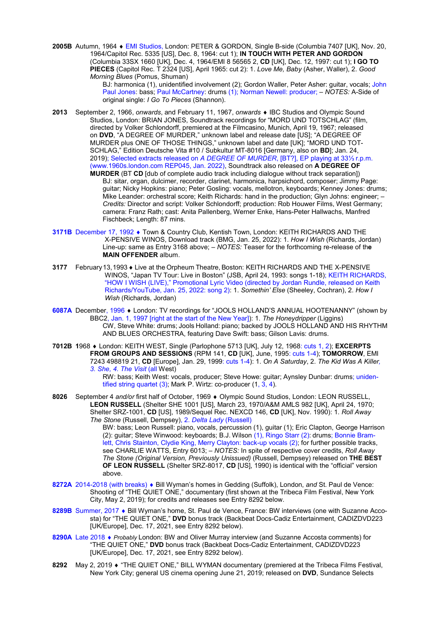2005B Autumn, 1964 EMI Studios, London: PETER & GORDON, Single B-side (Columbia 7407 [UK], Nov. 20, 1964/Capitol Rec. 5335 [US], Dec. 8, 1964: cut 1); IN TOUCH WITH PETER AND GORDON (Columbia 33SX 1660 [UK], Dec. 4, 1964/EMI 8 56565 2, CD [UK], Dec. 12, 1997: cut 1); I GO TO PIECES (Capitol Rec. T 2324 [US], April 1965: cut 2): 1. Love Me, Baby (Asher, Waller), 2. Good Morning Blues (Pomus, Shuman)

> BJ: harmonica (1), unidentified involvement (2); Gordon Waller, Peter Asher: guitar, vocals; John Paul Jones: bass; Paul McCartney: drums (1); Norman Newell: producer; - NOTES: A-Side of original single: I Go To Pieces (Shannon).

- 2013 September 2, 1966, onwards, and February 11, 1967, onwards ♦ IBC Studios and Olympic Sound Studios, London: BRIAN JONES, Soundtrack recordings for "MORD UND TOTSCHLAG" (film, directed by Volker Schlondorff, premiered at the Filmcasino, Munich, April 19, 1967; released on DVD, "A DEGREE OF MURDER," unknown label and release date [US]; "A DEGREE OF MURDER plus ONE OF THOSE THINGS," unknown label and date [UK]; "MORD UND TOT-SCHLAG," Edition Deutsche Vita #10 / Subkultur MT-8016 [Germany, also on BD]; Jan. 24, 2019); Selected extracts released on A DEGREE OF MURDER, [BT?], EP playing at 33⅓ r.p.m. (www.1960s.london.com REP045, Jan. 2022), Soundtrack also released on A DEGREE OF
	- MURDER (BT CD [dub of complete audio track including dialogue without track separation]) BJ: sitar, organ, dulcimer, recorder, clarinet, harmonica, harpsichord, composer; Jimmy Page: guitar; Nicky Hopkins: piano; Peter Gosling: vocals, mellotron, keyboards; Kenney Jones: drums; Mike Leander: orchestral score; Keith Richards: hand in the production; Glyn Johns: engineer; – Credits: Director and script: Volker Schlondorff; production: Rob Houwer Films, West Germany; camera: Franz Rath; cast: Anita Pallenberg, Werner Enke, Hans-Peter Hallwachs, Manfred Fischbeck; Length: 87 mins.
- 3171B December 17, 1992  $\bullet$  Town & Country Club, Kentish Town, London: KEITH RICHARDS AND THE X-PENSIVE WINOS, Download track (BMG, Jan. 25, 2022): 1. How I Wish (Richards, Jordan) Line-up: same as Entry 3168 above; – NOTES: Teaser for the forthcoming re-release of the MAIN OFFENDER album.
- 3177 February 13, 1993 Live at the Orpheum Theatre, Boston: KEITH RICHARDS AND THE X-PENSIVE WINOS, "Japan TV Tour: Live in Boston" (JSB, April 24, 1993: songs 1-18); KEITH RICHARDS, "HOW I WISH (LIVE)," Promotional Lyric Video (directed by Jordan Rundle, released on Keith Richards/YouTube, Jan. 25, 2022: song 2): 1. Somethin' Else (Sheeley, Cochran), 2. How I Wish (Richards, Jordan)
- 6087A December, 1996 . London: TV recordings for "JOOLS HOLLAND'S ANNUAL HOOTENANNY" (shown by BBC2, Jan. 1, 1997 [right at the start of the New Year]): 1. The Honeydripper (Liggins) CW, Steve White: drums; Jools Holland: piano; backed by JOOLS HOLLAND AND HIS RHYTHM AND BLUES ORCHESTRA, featuring Dave Swift: bass; Gilson Lavis: drums.
- 7012B 1968 London: KEITH WEST, Single (Parlophone 5713 [UK], July 12, 1968: cuts 1, 2); EXCERPTS FROM GROUPS AND SESSIONS (RPM 141, CD [UK], June, 1995: cuts 1-4); TOMORROW, EMI 7243 498819 21, CD [Europe], Jan. 29, 1999: cuts 1-4): 1. On A Saturday, 2. The Kid Was A Killer, 3. She, 4. The Visit (all West)

RW: bass; Keith West: vocals, producer; Steve Howe: guitar; Aynsley Dunbar: drums; unidentified string quartet (3); Mark P. Wirtz: co-producer (1, 3, 4).

8026 September 4 and/or first half of October, 1969  $\bullet$  Olympic Sound Studios, London: LEON RUSSELL, LEON RUSSELL (Shelter SHE 1001 [US], March 23, 1970/A&M AMLS 982 [UK], April 24, 1970; Shelter SRZ-1001, CD [US], 1989/Sequel Rec. NEXCD 146, CD [UK], Nov. 1990): 1. Roll Away The Stone (Russell, Dempsey), 2. Delta Lady (Russell)

BW: bass; Leon Russell: piano, vocals, percussion (1), guitar (1); Eric Clapton, George Harrison (2): guitar; Steve Winwood: keyboards; B.J. Wilson (1), Ringo Starr (2): drums; Bonnie Bramlett, Chris Stainton, Clydie King, Merry Clayton: back-up vocals (2); for further possible tracks, see CHARLIE WATTS, Entry 6013; - NOTES: In spite of respective cover credits, Roll Away The Stone (Original Version, Previously Unissued) (Russell, Dempsey) released on THE BEST OF LEON RUSSELL (Shelter SRZ-8017, CD [US], 1990) is identical with the "official" version above.

- 8272A 2014-2018 (with breaks) Bill Wyman's homes in Gedding (Suffolk), London, and St. Paul de Vence: Shooting of "THE QUIET ONE," documentary (first shown at the Tribeca Film Festival, New York City, May 2, 2019); for credits and releases see Entry 8292 below.
- 8289B Summer, 2017 Bill Wyman's home, St. Paul de Vence, France: BW interviews (one with Suzanne Accosta) for "THE QUIET ONE," DVD bonus track (Backbeat Docs-Cadiz Entertainment, CADIZDVD223 [UK/Europe], Dec. 17, 2021, see Entry 8292 below).
- 8290A Late 2018 Probably London: BW and Oliver Murray interview (and Suzanne Accosta comments) for "THE QUIET ONE," DVD bonus track (Backbeat Docs-Cadiz Entertainment, CADIZDVD223 [UK/Europe], Dec. 17, 2021, see Entry 8292 below).
- 8292 May 2, 2019 "THE QUIET ONE," BILL WYMAN documentary (premiered at the Tribeca Films Festival, New York City; general US cinema opening June 21, 2019; released on DVD, Sundance Selects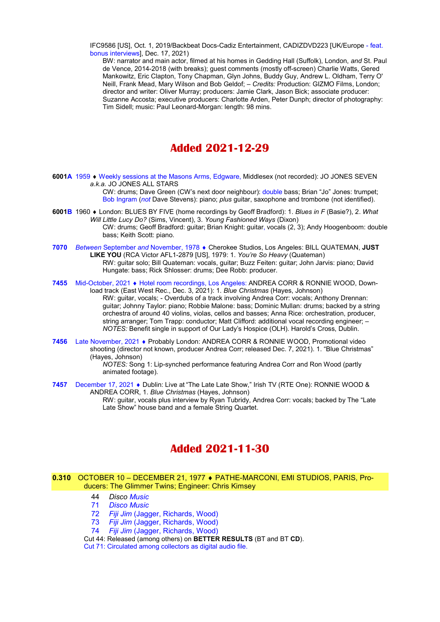IFC9586 [US], Oct. 1, 2019/Backbeat Docs-Cadiz Entertainment, CADIZDVD223 [UK/Europe - feat. bonus interviews], Dec. 17, 2021)

BW: narrator and main actor, filmed at his homes in Gedding Hall (Suffolk), London, and St. Paul de Vence, 2014-2018 (with breaks); guest comments (mostly off-screen) Charlie Watts, Gered Mankowitz, Eric Clapton, Tony Chapman, Glyn Johns, Buddy Guy, Andrew L. Oldham, Terry O' Neill, Frank Mead, Mary Wilson and Bob Geldof; – Credits: Production: GIZMO Films, London; director and writer: Oliver Murray; producers: Jamie Clark, Jason Bick; associate producer: Suzanne Accosta; executive producers: Charlotte Arden, Peter Dunph; director of photography: Tim Sidell; music: Paul Leonard-Morgan: length: 98 mins.

# Added 2021-12-29

6001A 1959 Weekly sessions at the Masons Arms, Edgware, Middlesex (not recorded): JO JONES SEVEN a.k.a. JO JONES ALL STARS

CW: drums; Dave Green (CW's next door neighbour): double bass; Brian "Jo" Jones: trumpet; Bob Ingram (not Dave Stevens): piano; plus guitar, saxophone and trombone (not identified).

- 6001B 1960 ♦ London: BLUES BY FIVE (home recordings by Geoff Bradford): 1. Blues in F (Basie?), 2. What Will Little Lucy Do? (Sims, Vincent), 3. Young Fashioned Ways (Dixon) CW: drums; Geoff Bradford: guitar; Brian Knight: guitar, vocals (2, 3); Andy Hoogenboom: double bass; Keith Scott: piano.
- 7070 Between September and November, 1978 ♦ Cherokee Studios, Los Angeles: BILL QUATEMAN, JUST LIKE YOU (RCA Victor AFL1-2879 [US], 1979: 1. You're So Heavy (Quateman) RW: guitar solo; Bill Quateman: vocals, guitar; Buzz Feiten: guitar; John Jarvis: piano; David Hungate: bass; Rick Shlosser: drums; Dee Robb: producer.
- 7455 Mid-October, 2021 Hotel room recordings, Los Angeles: ANDREA CORR & RONNIE WOOD, Download track (East West Rec., Dec. 3, 2021): 1. Blue Christmas (Hayes, Johnson) RW: guitar, vocals; - Overdubs of a track involving Andrea Corr: vocals; Anthony Drennan: guitar; Johnny Taylor: piano; Robbie Malone: bass; Dominic Mullan: drums; backed by a string orchestra of around 40 violins, violas, cellos and basses; Anna Rice: orchestration, producer, string arranger; Tom Trapp: conductor; Matt Clifford: additional vocal recording engineer; – NOTES: Benefit single in support of Our Lady's Hospice (OLH). Harold's Cross, Dublin.
- 7456 Late November, 2021 ♦ Probably London: ANDREA CORR & RONNIE WOOD, Promotional video shooting (director not known, producer Andrea Corr; released Dec. 7, 2021). 1. "Blue Christmas" (Hayes, Johnson)

NOTES: Song 1: Lip-synched performance featuring Andrea Corr and Ron Wood (partly animated footage).

7457 December 17, 2021 • Dublin: Live at "The Late Late Show," Irish TV (RTE One): RONNIE WOOD & ANDREA CORR, 1. Blue Christmas (Hayes, Johnson) RW: guitar, vocals plus interview by Ryan Tubridy, Andrea Corr: vocals; backed by The "Late Late Show" house band and a female String Quartet.

# Added 2021-11-30

#### 0.310 OCTOBER 10 – DECEMBER 21, 1977 PATHE-MARCONI, EMI STUDIOS, PARIS, Producers: The Glimmer Twins; Engineer: Chris Kimsey

- 44 Disco Music
- 71 Disco Music
- 72 Fiji Jim (Jagger, Richards, Wood)
- 73 Fiji Jim (Jagger, Richards, Wood)
- 74 Fiji Jim (Jagger, Richards, Wood)
- Cut 44: Released (among others) on BETTER RESULTS (BT and BT CD).

Cut 71: Circulated among collectors as digital audio file.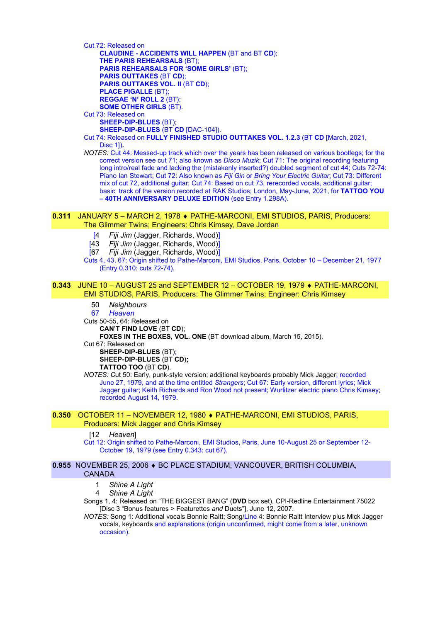Cut 72: Released on CLAUDINE - ACCIDENTS WILL HAPPEN (BT and BT CD); THE PARIS REHEARSALS (BT); PARIS REHEARSALS FOR 'SOME GIRLS' (BT); PARIS OUTTAKES (BT CD); PARIS OUTTAKES VOL. II (BT CD); PLACE PIGALLE (BT); REGGAE 'N' ROLL 2 (BT); SOME OTHER GIRLS (BT). Cut 73: Released on SHEEP-DIP-BLUES (BT); SHEEP-DIP-BLUES (BT CD [DAC-104]). Cut 74: Released on FULLY FINISHED STUDIO OUTTAKES VOL. 1.2.3 (BT CD [March, 2021, Disc 1]).

NOTES: Cut 44: Messed-up track which over the years has been released on various bootlegs; for the correct version see cut 71; also known as *Disco Muzik*; Cut 71: The original recording featuring long intro/real fade and lacking the (mistakenly inserted?) doubled segment of cut 44; Cuts 72-74: Piano Ian Stewart; Cut 72: Also known as Fiji Gin or Bring Your Electric Guitar; Cut 73: Different mix of cut 72, additional guitar; Cut 74: Based on cut 73, rerecorded vocals, additional guitar; basic track of the version recorded at RAK Studios; London, May-June, 2021, for TATTOO YOU – 40TH ANNIVERSARY DELUXE EDITION (see Entry 1.298A).

#### 0.311 JANUARY 5 – MARCH 2, 1978 PATHE-MARCONI, EMI STUDIOS, PARIS, Producers: The Glimmer Twins; Engineers: Chris Kimsey, Dave Jordan

- [4 Fiji Jim (Jagger, Richards, Wood)]
- [43 Fiji Jim (Jagger, Richards, Wood)]
- [67 Fiji Jim (Jagger, Richards, Wood)]
- Cuts 4, 43, 67: Origin shifted to Pathe-Marconi, EMI Studios, Paris, October 10 December 21, 1977 (Entry 0.310: cuts 72-74).

#### **0.343** JUNE 10 - AUGUST 25 and SEPTEMBER 12 - OCTOBER 19, 1979 ♦ PATHE-MARCONI, EMI STUDIOS, PARIS, Producers: The Glimmer Twins; Engineer: Chris Kimsey

50 Neighbours

67 Heaven

Cuts 50-55, 64: Released on CAN'T FIND LOVE (BT CD);

FOXES IN THE BOXES, VOL. ONE (BT download album, March 15, 2015).

Cut 67: Released on

SHEEP-DIP-BLUES (BT); SHEEP-DIP-BLUES (BT CD): TATTOO TOO (BT CD).

NOTES: Cut 50: Early, punk-style version; additional keyboards probably Mick Jagger; recorded June 27, 1979, and at the time entitled Strangers; Cut 67: Early version, different lyrics; Mick Jagger guitar; Keith Richards and Ron Wood not present; Wurlitzer electric piano Chris Kimsey; recorded August 14, 1979.

## 0.350 OCTOBER 11 – NOVEMBER 12, 1980 PATHE-MARCONI, EMI STUDIOS, PARIS, Producers: Mick Jagger and Chris Kimsey

#### [12 Heaven]

Cut 12: Origin shifted to Pathe-Marconi, EMI Studios, Paris, June 10-August 25 or September 12- October 19, 1979 (see Entry 0.343: cut 67).

#### 0.955 NOVEMBER 25, 2006 · BC PLACE STADIUM, VANCOUVER, BRITISH COLUMBIA, CANADA

- 1 Shine A Light
- 4 Shine A Light

Songs 1, 4: Released on "THE BIGGEST BANG" (DVD box set), CPI-Redline Entertainment 75022 [Disc 3 "Bonus features > Featurettes and Duets"], June 12, 2007.

NOTES: Song 1: Additional vocals Bonnie Raitt; Song/Line 4: Bonnie Raitt Interview plus Mick Jagger vocals, keyboards and explanations (origin unconfirmed, might come from a later, unknown occasion).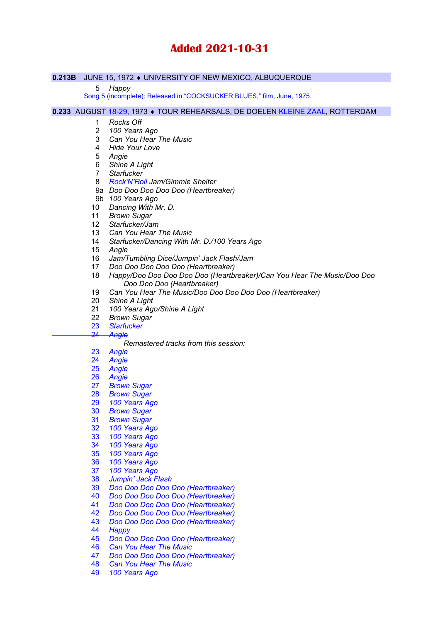# Added 2021-10-31

## 0.213B JUNE 15, 1972 UNIVERSITY OF NEW MEXICO, ALBUQUERQUE

Happy

Song 5 (incomplete): Released in "COCKSUCKER BLUES," film, June, 1975.

0.233 AUGUST 18-29, 1973 ♦ TOUR REHEARSALS, DE DOELEN KLEINE ZAAL, ROTTERDAM

- Rocks Off
- 100 Years Ago
- Can You Hear The Music
- Hide Your Love
- Angie
- Shine A Light
- Starfucker
- Rock'N'Roll Jam/Gimmie Shelter
- 9a Doo Doo Doo Doo Doo (Heartbreaker)
- 9b 100 Years Ago
- Dancing With Mr. D.
- 11 Brown Sugar
- Starfucker/Jam
- 13 Can You Hear The Music
- Starfucker/Dancing With Mr. D./100 Years Ago
- Angie
- Jam/Tumbling Dice/Jumpin' Jack Flash/Jam
- Doo Doo Doo Doo Doo (Heartbreaker)
- Happy/Doo Doo Doo Doo Doo (Heartbreaker)/Can You Hear The Music/Doo Doo Doo Doo Doo (Heartbreaker)
- Can You Hear The Music/Doo Doo Doo Doo Doo (Heartbreaker)
- Shine A Light
- 100 Years Ago/Shine A Light
- 22 Brown Sugar
- 
- 23 Starfucker<br>24 Angie **Angie**

## Remastered tracks from this session:

- Angie
- 
- Angie **Angie**
- Angie
- Brown Sugar
- Brown Sugar
- 100 Years Ago
- Brown Sugar
- Brown Sugar
- 100 Years Ago
- 100 Years Ago
- 100 Years Ago
- 100 Years Ago
- 100 Years Ago
- 100 Years Ago
- Jumpin' Jack Flash
- Doo Doo Doo Doo Doo (Heartbreaker)
- Doo Doo Doo Doo Doo (Heartbreaker)
- Doo Doo Doo Doo Doo (Heartbreaker)
- Doo Doo Doo Doo Doo (Heartbreaker)
- Doo Doo Doo Doo Doo (Heartbreaker)
- Happy
- Doo Doo Doo Doo Doo (Heartbreaker)
- Can You Hear The Music
- Doo Doo Doo Doo Doo (Heartbreaker)
- Can You Hear The Music
- 100 Years Ago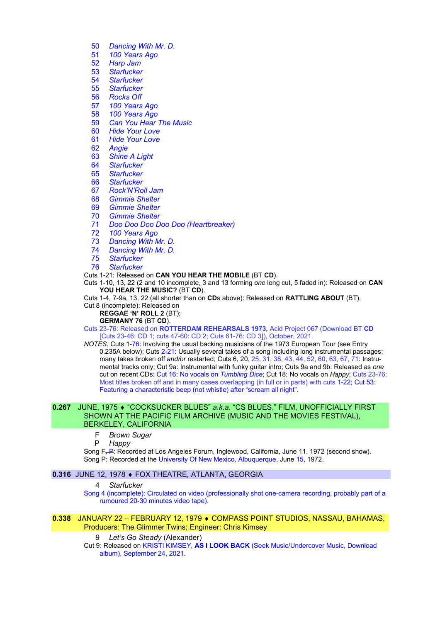- 50 Dancing With Mr. D.
- 51 100 Years Ago<br>52 Harp Jam
- 52 Harp Jam<br>53 Starfucker
- 53 Starfucker<br>54 Starfucker
- 54 Starfucker<br>55 Starfucker
- **Starfucker**
- 56 Rocks Off
- 57 100 Years Ago
- 58 100 Years Ago
- 59 Can You Hear The Music
- 60 Hide Your Love
- 61 Hide Your Love
- 62 Angie
- 63 Shine A Light
- 64 Starfucker
- 65 Starfucker
- 66 Starfucker
- 67 Rock'N'Roll Jam
- 68 Gimmie Shelter
- 69 Gimmie Shelter
- 70 Gimmie Shelter
- 71 Doo Doo Doo Doo Doo (Heartbreaker)
- 72 100 Years Ago
- 73 Dancing With Mr. D.
- 74 Dancing With Mr. D.
- 75 Starfucker
- 76 Starfucker
- Cuts 1-21: Released on CAN YOU HEAR THE MOBILE (BT CD).
- Cuts 1-10, 13, 22 (2 and 10 incomplete, 3 and 13 forming one long cut, 5 faded in): Released on CAN YOU HEAR THE MUSIC? (BT CD).
- Cuts 1-4, 7-9a, 13, 22 (all shorter than on CDs above): Released on RATTLING ABOUT (BT).
- Cut 8 (incomplete): Released on
	- REGGAE 'N' ROLL 2 (BT);

# GERMANY 76 (BT CD).

Cuts 23-76: Released on ROTTERDAM REHEARSALS 1973, Acid Project 067 (Download BT CD [Cuts 23-46: CD 1; cuts 47-60: CD 2; Cuts 61-76: CD 3]), October, 2021.

NOTES: Cuts 1-76: Involving the usual backing musicians of the 1973 European Tour (see Entry 0.235A below); Cuts 2-21: Usually several takes of a song including long instrumental passages; many takes broken off and/or restarted; Cuts 6, 20, 25, 31, 38, 43, 44, 52, 60, 63, 67, 71: Instrumental tracks only; Cut 9a: Instrumental with funky guitar intro; Cuts 9a and 9b: Released as one cut on recent CDs; Cut 16: No vocals on Tumbling Dice; Cut 18: No vocals on Happy; Cuts 23-76: Most titles broken off and in many cases overlapping (in full or in parts) with cuts 1-22; Cut 53: Featuring a characteristic beep (not whistle) after "scream all night".

#### 0.267 JUNE, 1975 • "COCKSUCKER BLUES" a.k.a. "CS BLUES," FILM, UNOFFICIALLY FIRST SHOWN AT THE PACIFIC FILM ARCHIVE (MUSIC AND THE MOVIES FESTIVAL), BERKELEY, CALIFORNIA

F Brown Sugar<br>P Happy

Happy

Song F<sub>r</sub>-P: Recorded at Los Angeles Forum, Inglewood, California, June 11, 1972 (second show). Song P: Recorded at the University Of New Mexico, Albuquerque, June 15, 1972.

# 0.316 JUNE 12, 1978 ♦ FOX THEATRE, ATLANTA, GEORGIA

4 Starfucker

Song 4 (incomplete): Circulated on video (professionally shot one-camera recording, probably part of a rumoured 20-30 minutes video tape).

#### 0.338 JANUARY 22 – FEBRUARY 12, 1979 COMPASS POINT STUDIOS, NASSAU, BAHAMAS, Producers: The Glimmer Twins; Engineer: Chris Kimsey

#### 9 Let's Go Steady (Alexander)

Cut 9: Released on KRISTI KIMSEY, AS I LOOK BACK (Seek Music/Undercover Music, Download album), September 24, 2021.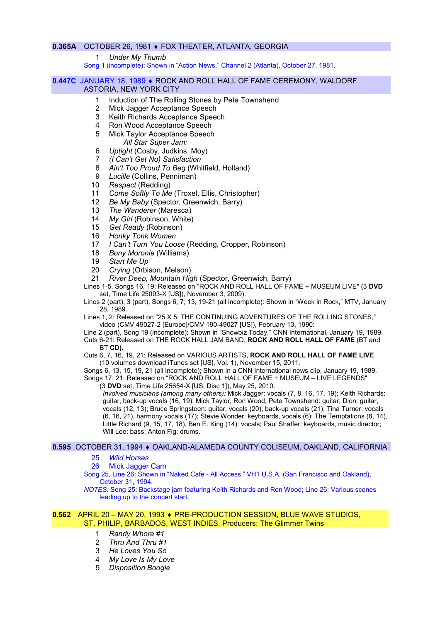# 0.365A OCTOBER 26, 1981 FOX THEATER, ATLANTA, GEORGIA

1 Under My Thumb

Song 1 (incomplete): Shown in "Action News," Channel 2 (Atlanta), October 27, 1981.

#### 0.447C JANUARY 18, 1989 • ROCK AND ROLL HALL OF FAME CEREMONY, WALDORF ASTORIA, NEW YORK CITY

- 1 Induction of The Rolling Stones by Pete Townshend
	- 2 Mick Jagger Acceptance Speech
	- 3 Keith Richards Acceptance Speech
	- 4 Ron Wood Acceptance Speech
	- 5 Mick Taylor Acceptance Speech All Star Super Jam:
- 6 Uptight (Cosby, Judkins, Moy)
- 7 (I Can't Get No) Satisfaction
- 8 Ain't Too Proud To Beg (Whitfield, Holland)
- 9 Lucille (Collins, Penniman)
- 10 Respect (Redding)
- 11 Come Softly To Me (Troxel, Ellis, Christopher)
- 12 Be My Baby (Spector, Greenwich, Barry)
- 13 The Wanderer (Maresca)
- 14 My Girl (Robinson, White)
- 15 Get Ready (Robinson)
- 16 Honky Tonk Women
- 17 I Can't Turn You Loose (Redding, Cropper, Robinson)
- 18 Bony Moronie (Williams)
- 19 Start Me Up
- 20 Crying (Orbison, Melson)
- 21 River Deep, Mountain High (Spector, Greenwich, Barry)
- Lines 1-5, Songs 16, 19: Released on "ROCK AND ROLL HALL OF FAME + MUSEUM LIVE" (3 DVD set, Time Life 25093-X [US]), November 3, 2009).
- Lines 2 (part), 3 (part), Songs 6, 7, 13, 19-21 (all incomplete): Shown in "Week in Rock," MTV, January 28, 1989.
- Lines 1, 2: Released on "25 X 5: THE CONTINUING ADVENTURES OF THE ROLLING STONES," video (CMV 49027-2 [Europe]/CMV 190-49027 [US]), February 13, 1990:
- Line 2 (part), Song 19 (incomplete): Shown in "Showbiz Today," CNN International, January 19, 1989. Cuts 6-21: Released on THE ROCK HALL JAM BAND, ROCK AND ROLL HALL OF FAME (BT and BT CD).
- Cuts 6, 7, 16, 19, 21: Released on VARIOUS ARTISTS, ROCK AND ROLL HALL OF FAME LIVE (10 volumes download iTunes set [US], Vol. 1), November 15, 2011.

Songs 6, 13, 15, 19, 21 (all incomplete); Shown in a CNN International news clip, January 19, 1989. Songs 17, 21: Released on "ROCK AND ROLL HALL OF FAME + MUSEUM – LIVE LEGENDS"

(3 DVD set, Time Life 25654-X [US, Disc 1]), May 25, 2010.

Involved musicians (among many others): Mick Jagger: vocals (7, 8, 16, 17, 19); Keith Richards: guitar, back-up vocals (16, 19); Mick Taylor, Ron Wood, Pete Townshend: guitar, Dion: guitar, vocals (12, 13); Bruce Springsteen: guitar, vocals (20), back-up vocals (21); Tina Turner: vocals (6, 16, 21), harmony vocals (17); Stevie Wonder: keyboards, vocals (6); The Temptations (8, 14), Little Richard (9, 15, 17, 18), Ben E. King (14): vocals; Paul Shaffer: keyboards, music director; Will Lee: bass; Anton Fig: drums.

# 0.595 OCTOBER 31, 1994 · OAKLAND-ALAMEDA COUNTY COLISEUM, OAKLAND, CALIFORNIA

#### 25 Wild Horses

26 Mick Jagger Cam

Song 25, Line 26: Shown in "Naked Cafe - All Access," VH1 U.S.A. (San Francisco and Oakland), October 31, 1994.

NOTES: Song 25: Backstage jam featuring Keith Richards and Ron Wood; Line 26: Various scenes leading up to the concert start.

#### 0.562 APRIL 20 – MAY 20, 1993 ♦ PRE-PRODUCTION SESSION, BLUE WAVE STUDIOS, ST. PHILIP, BARBADOS, WEST INDIES, Producers: The Glimmer Twins

- 1 Randy Whore #1
- 2 Thru And Thru #1
- 3 He Loves You So
- 4 My Love Is My Love
- 5 Disposition Boogie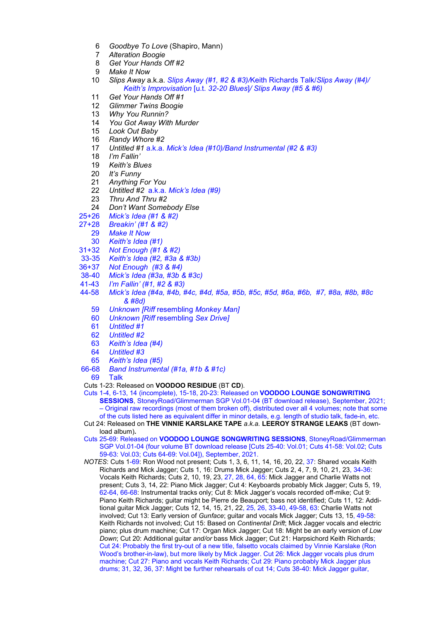- 6 Goodbye To Love (Shapiro, Mann)
- 7 Alteration Boogie
- 8 Get Your Hands Off #2
- 9 Make It Now
- 10 Slips Away a.k.a. Slips Away (#1, #2 & #3)/Keith Richards Talk/Slips Away (#4)/ Keith's Improvisation [u.t. 32-20 Blues]/ Slips Away (#5 & #6)
- 11 Get Your Hands Off #1
- 12 Glimmer Twins Boogie
- 13 Why You Runnin?
- 14 You Got Away With Murder
- 15 Look Out Baby
- 16 Randy Whore #2
- 17 Untitled #1 a.k.a. Mick's Idea (#10)/Band Instrumental (#2 & #3)
- 18 I'm Fallin'
- 19 Keith's Blues
- 20 It's Funny
- 21 Anything For You
- 22 Untitled #2 a.k.a. Mick's Idea (#9)
- 23 Thru And Thru #2
- 24 Don't Want Somebody Else
- 25+26 Mick's Idea (#1 & #2)
- 27+28 Breakin' (#1 & #2)
	- 29 Make It Now
	- 30 Keith's Idea (#1)
- 31+32 Not Enough (#1 & #2)
- 33-35 Keith's Idea (#2, #3a & #3b)
- 36+37 Not Enough (#3 & #4)
- 38-40 Mick's Idea (#3a, #3b & #3c)
- 41-43 I'm Fallin' (#1, #2 & #3)
- 44-58 Mick's Idea (#4a, #4b, #4c, #4d, #5a, #5b, #5c, #5d, #6a, #6b, #7, #8a, #8b, #8c & #8d)
	- 59 Unknown [Riff resembling Monkey Man]
	- 60 Unknown [Riff resembling Sex Drive]
	- 61 Untitled #1
	- 62 Untitled #2
	- 63 Keith's Idea (#4)
	- 64 Untitled #3
	- 65 Keith's Idea (#5)
- 66-68 Band Instrumental (#1a, #1b & #1c)
	- 69 Talk
- Cuts 1-23: Released on VOODOO RESIDUE (BT CD).
- Cuts 1-4, 6-13, 14 (incomplete), 15-18, 20-23: Released on VOODOO LOUNGE SONGWRITING SESSIONS, StoneyRoad/Glimmerman SGP Vol.01-04 (BT download release), September, 2021; – Original raw recordings (most of them broken off), distributed over all 4 volumes; note that some of the cuts listed here as equivalent differ in minor details, e.g. length of studio talk, fade-in, etc.
- Cut 24: Released on THE VINNIE KARSLAKE TAPE a.k.a. LEEROY STRANGE LEAKS (BT download album).
- Cuts 25-69: Released on VOODOO LOUNGE SONGWRITING SESSIONS, StoneyRoad/Glimmerman SGP Vol.01-04 (four volume BT download release [Cuts 25-40: Vol.01; Cuts 41-58: Vol.02; Cuts 59-63: Vol.03; Cuts 64-69: Vol.04]), September, 2021.
- NOTES: Cuts 1-69: Ron Wood not present; Cuts 1, 3, 6, 11, 14, 16, 20, 22, 37: Shared vocals Keith Richards and Mick Jagger; Cuts 1, 16: Drums Mick Jagger; Cuts 2, 4, 7, 9, 10, 21, 23, 34-36: Vocals Keith Richards; Cuts 2, 10, 19, 23, 27, 28, 64, 65: Mick Jagger and Charlie Watts not present; Cuts 3, 14, 22: Piano Mick Jagger; Cut 4: Keyboards probably Mick Jagger; Cuts 5, 19, 62-64, 66-68: Instrumental tracks only; Cut 8: Mick Jagger's vocals recorded off-mike; Cut 9: Piano Keith Richards; guitar might be Pierre de Beauport; bass not identified; Cuts 11, 12: Additional guitar Mick Jagger; Cuts 12, 14, 15, 21, 22, 25, 26, 33-40, 49-58, 63: Charlie Watts not involved; Cut 13: Early version of Gunface; guitar and vocals Mick Jagger; Cuts 13, 15, 49-58: Keith Richards not involved; Cut 15: Based on Continental Drift; Mick Jagger vocals and electric piano; plus drum machine; Cut 17: Organ Mick Jagger; Cut 18: Might be an early version of Low Down; Cut 20: Additional guitar and/or bass Mick Jagger; Cut 21: Harpsichord Keith Richards; Cut 24: Probably the first try-out of a new title, falsetto vocals claimed by Vinnie Karslake (Ron Wood's brother-in-law), but more likely by Mick Jagger. Cut 26: Mick Jagger vocals plus drum machine; Cut 27: Piano and vocals Keith Richards; Cut 29: Piano probably Mick Jagger plus drums; 31, 32, 36, 37: Might be further rehearsals of cut 14; Cuts 38-40: Mick Jagger guitar,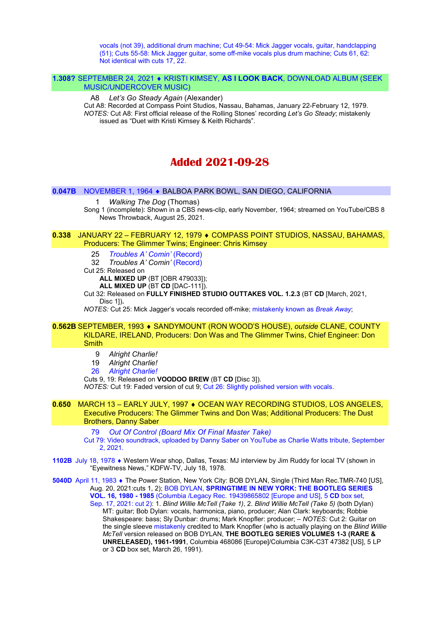vocals (not 39), additional drum machine; Cut 49-54: Mick Jagger vocals, guitar, handclapping (51); Cuts 55-58: Mick Jagger guitar, some off-mike vocals plus drum machine; Cuts 61, 62: Not identical with cuts 17, 22.

#### 1.308? SEPTEMBER 24, 2021 • KRISTI KIMSEY, AS I LOOK BACK, DOWNLOAD ALBUM (SEEK) MUSIC/UNDERCOVER MUSIC)

#### A8 Let's Go Steady Again (Alexander)

Cut A8: Recorded at Compass Point Studios, Nassau, Bahamas, January 22-February 12, 1979. NOTES: Cut A8: First official release of the Rolling Stones' recording Let's Go Steady; mistakenly issued as "Duet with Kristi Kimsey & Keith Richards".

# Added 2021-09-28

#### 0.047B NOVEMBER 1, 1964 BALBOA PARK BOWL, SAN DIEGO, CALIFORNIA

#### 1 Walking The Dog (Thomas)

Song 1 (incomplete): Shown in a CBS news-clip, early November, 1964; streamed on YouTube/CBS 8 News Throwback, August 25, 2021.

#### 0.338 JANUARY 22 - FEBRUARY 12, 1979 ♦ COMPASS POINT STUDIOS, NASSAU, BAHAMAS, Producers: The Glimmer Twins; Engineer: Chris Kimsey

- 25 Troubles A' Comin' (Record)
- 32 Troubles A' Comin' (Record)
- Cut 25: Released on

ALL MIXED UP (BT [OBR 479033]);

ALL MIXED UP (BT CD [DAC-111]).

#### Cut 32: Released on FULLY FINISHED STUDIO OUTTAKES VOL. 1.2.3 (BT CD [March, 2021, Disc 1]).

NOTES: Cut 25: Mick Jagger's vocals recorded off-mike; mistakenly known as Break Away;

#### 0.562B SEPTEMBER, 1993 • SANDYMOUNT (RON WOOD'S HOUSE), outside CLANE, COUNTY KILDARE, IRELAND, Producers: Don Was and The Glimmer Twins, Chief Engineer: Don **Smith**

- 9 Alright Charlie!
- 19 Alright Charlie!
- 26 Alright Charlie!
- Cuts 9, 19: Released on VOODOO BREW (BT CD [Disc 3]).

NOTES: Cut 19: Faded version of cut 9; Cut 26: Slightly polished version with vocals.

#### 0.650 MARCH 13 - EARLY JULY, 1997 ♦ OCEAN WAY RECORDING STUDIOS, LOS ANGELES, Executive Producers: The Glimmer Twins and Don Was; Additional Producers: The Dust Brothers, Danny Saber

79 Out Of Control (Board Mix Of Final Master Take)

Cut 79: Video soundtrack, uploaded by Danny Saber on YouTube as Charlie Watts tribute, September 2, 2021.

- 1102B July 18, 1978 Western Wear shop, Dallas, Texas: MJ interview by Jim Ruddy for local TV (shown in "Eyewitness News," KDFW-TV, July 18, 1978.
- 5040D April 11, 1983 ♦ The Power Station, New York City: BOB DYLAN, Single (Third Man Rec.TMR-740 [US], Aug. 20, 2021:cuts 1, 2); BOB DYLAN, SPRINGTIME IN NEW YORK: THE BOOTLEG SERIES VOL. 16, 1980 - 1985 (Columbia /Legacy Rec. 19439865802 [Europe and US], 5 CD box set,

Sep. 17, 2021: cut 2): 1. Blind Willie McTell (Take 1), 2. Blind Willie McTell (Take 5) (both Dylan) MT: guitar; Bob Dylan: vocals, harmonica, piano, producer; Alan Clark: keyboards; Robbie Shakespeare: bass; Sly Dunbar: drums; Mark Knopfler: producer; – NOTES: Cut 2: Guitar on the single sleeve mistakenly credited to Mark Knopfler (who is actually playing on the Blind Willie McTell version released on BOB DYLAN, THE BOOTLEG SERIES VOLUMES 1-3 (RARE & UNRELEASED), 1961-1991, Columbia 468086 [Europe]/Columbia C3K-C3T 47382 [US], 5 LP or 3 CD box set, March 26, 1991).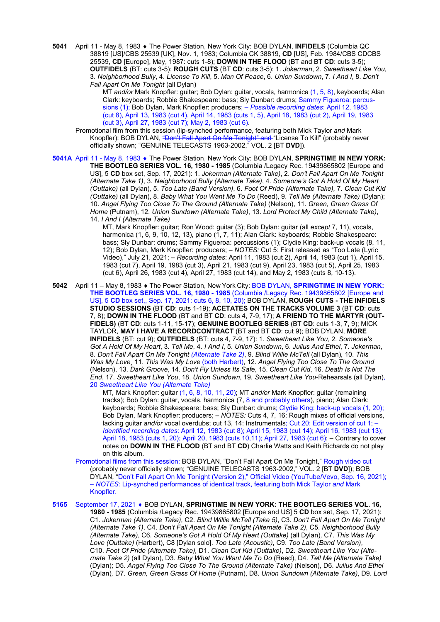5041 April 11 - May 8, 1983 ♦ The Power Station, New York City: BOB DYLAN, INFIDELS (Columbia QC 38819 [US]/CBS 25539 [UK], Nov. 1, 1983; Columbia CK 38819, CD [US], Feb. 1984/CBS CDCBS 25539, CD [Europe], May, 1987: cuts 1-8); DOWN IN THE FLOOD (BT and BT CD: cuts 3-5); OUTFIDELS (BT: cuts 3-5); ROUGH CUTS (BT CD: cuts 3-5): 1. Jokerman, 2. Sweetheart Like You, 3. Neighborhood Bully, 4. License To Kill, 5. Man Of Peace, 6. Union Sundown, 7. I And I, 8. Don't Fall Apart On Me Tonight (all Dylan)

MT and/or Mark Knopfler: guitar; Bob Dylan: guitar, vocals, harmonica (1, 5, 8), keyboards; Alan Clark: keyboards; Robbie Shakespeare: bass; Sly Dunbar: drums; Sammy Figueroa: percussions (1); Bob Dylan, Mark Knopfler: producers; – Possible recording dates: April 12, 1983 (cut 8), April 13, 1983 (cut 4), April 14, 1983 (cuts 1, 5), April 18, 1983 (cut 2), April 19, 1983 (cut 3), April 27, 1983 (cut 7); May 2, 1983 (cut 6).

Promotional film from this session (lip-synched performance, featuring both Mick Taylor and Mark Knopfler): BOB DYLAN, "Don't Fall Apart On Me Tonight" and "License To Kill" (probably never officially shown; "GENUINE TELECASTS 1963-2002," VOL. 2 [BT DVD]).

5041A April 11 - May 8, 1983 . The Power Station, New York City: BOB DYLAN, SPRINGTIME IN NEW YORK: THE BOOTLEG SERIES VOL. 16, 1980 - 1985 (Columbia /Legacy Rec. 19439865802 [Europe and US], 5 CD box set, Sep. 17, 2021): 1. Jokerman (Alternate Take), 2. Don't Fall Apart On Me Tonight (Alternate Take 1), 3. Neighborhood Bully (Alternate Take), 4. Someone's Got A Hold Of My Heart (Outtake) (all Dylan), 5. Too Late (Band Version), 6. Foot Of Pride (Alternate Take), 7. Clean Cut Kid (Outtake) (all Dylan), 8. Baby What You Want Me To Do (Reed), 9. Tell Me (Alternate Take) (Dylan); 10. Angel Flying Too Close To The Ground (Alternate Take) (Nelson), 11. Green, Green Grass Of Home (Putnam), 12. Union Sundown (Alternate Take), 13. Lord Protect My Child (Alternate Take), 14. I And I (Alternate Take)

MT, Mark Knopfler: guitar; Ron Wood: guitar (3); Bob Dylan: guitar (all except 7, 11), vocals, harmonica (1, 6, 9, 10, 12, 13), piano (1, 7, 11); Alan Clark: keyboards; Robbie Shakespeare: bass; Sly Dunbar: drums; Sammy Figueroa: percussions (1); Clydie King: back-up vocals (8, 11, 12); Bob Dylan, Mark Knopfler: producers; – NOTES: Cut 5: First released as "Too Late (Lyric Video)," July 21, 2021; – Recording dates: April 11, 1983 (cut 2), April 14, 1983 (cut 1), April 15, 1983 (cut 7), April 19, 1983 (cut 3), April 21, 1983 (cut 9), April 23, 1983 (cut 5), April 25, 1983 (cut 6), April 26, 1983 (cut 4), April 27, 1983 (cut 14), and May 2, 1983 (cuts 8, 10-13).

5042 April 11 – May 8, 1983 • The Power Station, New York City: BOB DYLAN, SPRINGTIME IN NEW YORK: THE BOOTLEG SERIES VOL. 16, 1980 - 1985 (Columbia /Legacy Rec. 19439865802 [Europe and US], 5 CD box set,, Sep. 17, 2021: cuts 6, 8, 10, 20); BOB DYLAN, ROUGH CUTS - THE INFIDELS STUDIO SESSIONS (BT CD: cuts 1-19); ACETATES ON THE TRACKS VOLUME 3 (BT CD: cuts 7, 8); DOWN IN THE FLOOD (BT and BT CD: cuts 4, 7-9, 17); A FRIEND TO THE MARTYR (OUT-FIDELS) (BT CD: cuts 1-11, 15-17); GENUINE BOOTLEG SERIES (BT CD: cuts 1-3, 7, 9); MICK TAYLOR, MAY I HAVE A RECORDCONTRACT (BT and BT CD: cut 9); BOB DYLAN, MORE INFIDELS (BT: cut 9); OUTFIDELS (BT: cuts 4, 7-9, 17): 1. Sweetheart Like You, 2. Someone's Got A Hold Of My Heart, 3. Tell Me, 4. I And I, 5. Union Sundown, 6. Julius And Ethel, 7. Jokerman, 8. Don't Fall Apart On Me Tonight (Alternate Take 2), 9. Blind Willie McTell (all Dylan), 10. This Was My Love¸ 11. This Was My Love (both Harbert), 12. Angel Flying Too Close To The Ground (Nelson), 13. Dark Groove, 14. Don't Fly Unless Its Safe, 15. Clean Cut Kid, 16. Death Is Not The End, 17. Sweetheart Like You, 18. Union Sundown, 19. Sweetheart Like You-Rehearsals (all Dylan), 20 Sweetheart Like You (Alternate Take)

> MT, Mark Knopfler: guitar (1, 6, 8, 10, 11, 20); MT and/or Mark Knopfler: guitar (remaining tracks); Bob Dylan: guitar, vocals, harmonica (7, 8 and probably others), piano; Alan Clark: keyboards; Robbie Shakespeare: bass; Sly Dunbar: drums; Clydie King: back-up vocals (1, 20); Bob Dylan, Mark Knopfler: producers; – NOTES: Cuts 4, 7, 16: Rough mixes of official versions, lacking quitar and/or vocal overdubs; cut 13, 14: Instrumentals; Cut 20: Edit version of cut 1; -Identified recording dates: April 12, 1983 (cut 8); April 15, 1983 (cut 14); April 16, 1983 (cut 13); April 18, 1983 (cuts 1, 20); April 20, 1983 (cuts 10,11); April 27, 1983 (cut 6); – Contrary to cover notes on DOWN IN THE FLOOD (BT and BT CD) Charlie Watts and Keith Richards do not play on this album.

 Promotional films from this session: BOB DYLAN, "Don't Fall Apart On Me Tonight," Rough video cut (probably never officially shown; "GENUINE TELECASTS 1963-2002," VOL. 2 [BT DVD]); BOB DYLAN, "Don't Fall Apart On Me Tonight (Version 2)," Official Video (YouTube/Vevo, Sep. 16, 2021); – NOTES: Lip-synched performances of identical track, featuring both Mick Taylor and Mark Knopfler.

5165 September 17, 2021 • BOB DYLAN, SPRINGTIME IN NEW YORK: THE BOOTLEG SERIES VOL. 16, 1980 - 1985 (Columbia /Legacy Rec. 19439865802 [Europe and US] 5 CD box set, Sep. 17, 2021): C1. Jokerman (Alternate Take), C2. Blind Willie McTell (Take 5), C3. Don't Fall Apart On Me Tonight (Alternate Take 1), C4. Don't Fall Apart On Me Tonight (Alternate Take 2), C5. Neighborhood Bully (Alternate Take), C6. Someone's Got A Hold Of My Heart (Outtake) (all Dylan), C7. This Was My Love (Outtake) (Harbert), C8 [Dylan solo]. Too Late (Acoustic), C9. Too Late (Band Version), C10. Foot Of Pride (Alternate Take), D1. Clean Cut Kid (Outtake), D2. Sweetheart Like You (Alternate Take 2) (all Dylan), D3. Baby What You Want Me To Do (Reed), D4. Tell Me (Alternate Take) (Dylan); D5. Angel Flying Too Close To The Ground (Alternate Take) (Nelson), D6. Julius And Ethel (Dylan), D7. Green, Green Grass Of Home (Putnam), D8. Union Sundown (Alternate Take), D9. Lord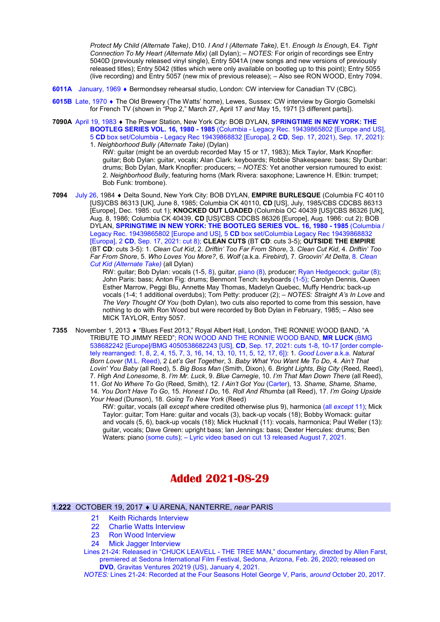Protect My Child (Alternate Take), D10. I And I (Alternate Take), E1. Enough Is Enough, E4. Tight Connection To My Heart (Alternate Mix) (all Dylan); – NOTES: For origin of recordings see Entry 5040D (previously released vinyl single), Entry 5041A (new songs and new versions of previously released titles); Entry 5042 (titles which were only available on bootleg up to this point); Entry 5055 (live recording) and Entry 5057 (new mix of previous release); – Also see RON WOOD, Entry 7094.

- 6011A January, 1969 Bermondsey rehearsal studio, London: CW interview for Canadian TV (CBC).
- 6015B Late, 1970 The Old Brewery (The Watts' home), Lewes, Sussex: CW interview by Giorgio Gomelski for French TV (shown in "Pop 2," March 27, April 17 and May 15, 1971 [3 different parts]).
- 7090A April 19, 1983 . The Power Station, New York City: BOB DYLAN, SPRINGTIME IN NEW YORK: THE BOOTLEG SERIES VOL. 16, 1980 - 1985 (Columbia - Legacy Rec. 19439865802 [Europe and US], 5 CD box set/Columbia - Legacy Rec 19439868832 [Europa], 2 CD, Sep. 17, 2021), Sep. 17, 2021): 1. Neighborhood Bully (Alternate Take) (Dylan)

RW: guitar (might be an overdub recorded May 15 or 17, 1983); Mick Taylor, Mark Knopfler: guitar; Bob Dylan: guitar, vocals; Alan Clark: keyboards; Robbie Shakespeare: bass; Sly Dunbar: drums; Bob Dylan, Mark Knopfler: producers; – NOTES: Yet another version rumoured to exist: 2. Neighborhood Bully, featuring horns (Mark Rivera: saxophone; Lawrence H. Etkin: trumpet; Bob Funk: trombone).

7094 July 26, 1984 + Delta Sound, New York City: BOB DYLAN, EMPIRE BURLESQUE (Columbia FC 40110 [US]/CBS 86313 [UK], June 8, 1985; Columbia CK 40110, CD [US], July, 1985/CBS CDCBS 86313 [Europe], Dec. 1985: cut 1); KNOCKED OUT LOADED (Columbia OC 40439 [US]/CBS 86326 [UK], Aug. 8, 1986; Columbia CK 40439, CD [US]/CBS CDCBS 86326 [Europe], Aug. 1986: cut 2); BOB DYLAN, SPRINGTIME IN NEW YORK: THE BOOTLEG SERIES VOL. 16, 1980 - 1985 (Columbia / Legacy Rec. 19439865802 [Europe and US], 5 CD box set/Columbia Legacy Rec 19439868832 [Europa], 2 CD, Sep. 17, 2021: cut 8); CLEAN CUTS (BT CD: cuts 3-5); OUTSIDE THE EMPIRE (BT CD: cuts 3-5): 1. Clean Cut Kid, 2. Driftin' Too Far From Shore, 3. Clean Cut Kid, 4. Driftin' Too Far From Shore, 5. Who Loves You More?, 6. Wolf (a.k.a. Firebird), 7. Groovin' At Delta, 8. Clean Cut Kid (Alternate Take) (all Dylan)

> RW: guitar; Bob Dylan: vocals (1-5, 8), guitar, piano (8), producer; Ryan Hedgecock; guitar (8); John Paris: bass; Anton Fig: drums; Benmont Tench: keyboards (1-5); Carolyn Dennis, Queen Esther Marrow, Peggi Blu, Annette May Thomas, Madelyn Quebec, Muffy Hendrix: back-up vocals (1-4; 1 additional overdubs); Tom Petty: producer (2); – NOTES: Straight A's In Love and The Very Thought Of You (both Dylan), two cuts also reported to come from this session, have nothing to do with Ron Wood but were recorded by Bob Dylan in February, 1985; – Also see MICK TAYLOR, Entry 5057.

7355 November 1, 2013 • "Blues Fest 2013," Royal Albert Hall, London, THE RONNIE WOOD BAND, "A TRIBUTE TO JIMMY REED"; RON WOOD AND THE RONNIE WOOD BAND, MR LUCK (BMG 538682242 [Europe]/BMG 4050538682243 [US], CD, Sep. 17, 2021: cuts 1-8, 10-17 [order completely rearranged: 1, 8, 2, 4, 15, 7, 3, 16, 14, 13, 10, 11, 5, 12, 17, 6]): 1. Good Lover a.k.a. Natural Born Lover (M.L. Reed), 2 Let's Get Together, 3. Baby What You Want Me To Do, 4. Ain't That Lovin' You Baby (all Reed), 5. Big Boss Man (Smith, Dixon), 6. Bright Lights, Big City (Reed, Reed), 7. High And Lonesome, 8. I'm Mr. Luck, 9. Blue Carnegie, 10. I'm That Man Down There (all Reed), 11. Got No Where To Go (Reed, Smith), 12. I Ain't Got You (Carter), 13. Shame, Shame, Shame, 14. You Don't Have To Go, 15. Honest I Do, 16. Roll And Rhumba (all Reed), 17. I'm Going Upside Your Head (Dunson), 18. Going To New York (Reed)

RW: guitar, vocals (all except where credited otherwise plus 9), harmonica (all except 11); Mick Taylor: guitar; Tom Hare: guitar and vocals (3), back-up vocals (18); Bobby Womack: guitar and vocals (5, 6), back-up vocals (18); Mick Hucknall (11): vocals, harmonica; Paul Weller (13): guitar, vocals; Dave Green: upright bass; Ian Jennings: bass; Dexter Hercules: drums; Ben Waters: piano (some cuts); – Lyric video based on cut 13 released August 7, 2021.

# Added 2021-08-29

# 1.222 OCTOBER 19, 2017 U ARENA, NANTERRE, near PARIS

- 21 Keith Richards Interview
- 22 Charlie Watts Interview
- 23 Ron Wood Interview
- 24 Mick Jagger Interview
- Lines 21-24: Released in "CHUCK LEAVELL THE TREE MAN," documentary, directed by Allen Farst, premiered at Sedona International Film Festival, Sedona, Arizona, Feb. 26, 2020; released on DVD, Gravitas Ventures 20219 (US), January 4, 2021.

NOTES: Lines 21-24: Recorded at the Four Seasons Hotel George V, Paris, around October 20, 2017.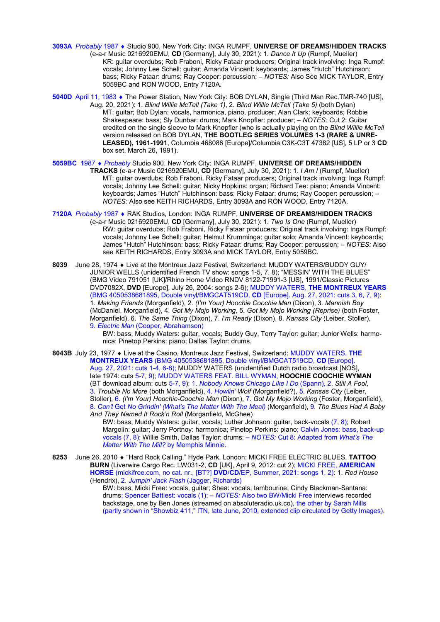- 3093A Probably 1987 Studio 900, New York City: INGA RUMPF, UNIVERSE OF DREAMS/HIDDEN TRACKS (e-a-r Music 0216920EMU, CD [Germany], July 30, 2021): 1. Dance It Up (Rumpf, Mueller) KR: guitar overdubs; Rob Fraboni, Ricky Fataar producers; Original track involving: Inga Rumpf: vocals; Johnny Lee Schell: guitar; Amanda Vincent: keyboards; James "Hutch" Hutchinson: bass; Ricky Fataar: drums; Ray Cooper: percussion; – NOTES: Also See MICK TAYLOR, Entry 5059BC and RON WOOD, Entry 7120A.
- 5040D April 11, 1983 The Power Station, New York City: BOB DYLAN, Single (Third Man Rec.TMR-740 [US], Aug. 20, 2021): 1. Blind Willie McTell (Take 1), 2. Blind Willie McTell (Take 5) (both Dylan) MT: guitar; Bob Dylan: vocals, harmonica, piano, producer; Alan Clark: keyboards; Robbie Shakespeare: bass; Sly Dunbar: drums; Mark Knopfler: producer; – NOTES: Cut 2: Guitar credited on the single sleeve to Mark Knopfler (who is actually playing on the Blind Willie McTell version released on BOB DYLAN, THE BOOTLEG SERIES VOLUMES 1-3 (RARE & UNRE-LEASED), 1961-1991, Columbia 468086 [Europe]/Columbia C3K-C3T 47382 [US], 5 LP or 3 CD box set, March 26, 1991).
- 5059BC 1987 ♦ Probably Studio 900, New York City: INGA RUMPF, UNIVERSE OF DREAMS/HIDDEN TRACKS (e-a-r Music 0216920EMU, CD [Germany], July 30, 2021): 1. I Am I (Rumpf, Mueller) MT: guitar overdubs; Rob Fraboni, Ricky Fataar producers; Original track involving: Inga Rumpf: vocals; Johnny Lee Schell: guitar; Nicky Hopkins: organ; Richard Tee: piano; Amanda Vincent: keyboards; James "Hutch" Hutchinson: bass; Ricky Fataar: drums; Ray Cooper: percussion; – NOTES: Also see KEITH RICHARDS, Entry 3093A and RON WOOD, Entry 7120A.
- 7120A Probably 1987 . RAK Studios, London: INGA RUMPF, UNIVERSE OF DREAMS/HIDDEN TRACKS (e-a-r Music 0216920EMU, CD [Germany], July 30, 2021): 1. Two Is One (Rumpf, Mueller) RW: guitar overdubs; Rob Fraboni, Ricky Fataar producers; Original track involving: Inga Rumpf: vocals; Johnny Lee Schell: guitar; Helmut Krumminga: guitar solo; Amanda Vincent: keyboards; James "Hutch" Hutchinson: bass; Ricky Fataar: drums; Ray Cooper: percussion; – NOTES: Also see KEITH RICHARDS, Entry 3093A and MICK TAYLOR, Entry 5059BC.
- 8039 June 28, 1974 Live at the Montreux Jazz Festival, Switzerland: MUDDY WATERS/BUDDY GUY/ JUNIOR WELLS (unidentified French TV show: songs 1-5, 7, 8); "MESSIN' WITH THE BLUES" (BMG Video 791051 [UK]/Rhino Home Video RNDV 8122-71991-3 [US], 1991/Classic Pictures DVD7082X, DVD [Europe], July 26, 2004: songs 2-6); MUDDY WATERS, THE MONTREUX YEARS (BMG 4050538681895, Double vinyl/BMGCAT519CD, CD [Europe]. Aug. 27, 2021: cuts 3, 6, 7, 9): 1. Making Friends (Morganfield), 2. (I'm Your) Hoochie Coochie Man (Dixon), 3. Mannish Boy (McDaniel, Morganfield), 4. Got My Mojo Working, 5. Got My Mojo Working (Reprise) (both Foster, Morganfield), 6. The Same Thing (Dixon), 7. I'm Ready (Dixon), 8. Kansas City (Leiber, Stoller), 9. Electric Man (Cooper, Abrahamson)

BW: bass, Muddy Waters: guitar, vocals; Buddy Guy, Terry Taylor: guitar; Junior Wells: harmonica; Pinetop Perkins: piano; Dallas Taylor: drums.

8043B July 23, 1977 • Live at the Casino, Montreux Jazz Festival, Switzerland: MUDDY WATERS, THE MONTREUX YEARS (BMG 4050538681895, Double vinyl/BMGCAT519CD, CD [Europe]. Aug. 27, 2021: cuts 1-4, 6-8); MUDDY WATERS (unidentified Dutch radio broadcast [NOS], late 1974: cuts 5-7, 9); MUDDY WATERS FEAT. BILL WYMAN, HOOCHIE COOCHIE WYMAN (BT download album: cuts 5-7, 9): 1. Nobody Knows Chicago Like I Do (Spann), 2. Still A Fool, 3. Trouble No More (both Morganfield), 4. Howlin' Wolf (Morganfield?), 5. Kansas City (Leiber, Stoller), 6. (I'm Your) Hoochie-Coochie Man (Dixon), 7. Got My Mojo Working (Foster, Morganfield), 8. Can't Get No Grindin' (What's The Matter With The Meal) (Morganfield), 9. The Blues Had A Baby And They Named It Rock'n Roll (Morganfield, McGhee)

BW: bass; Muddy Waters: guitar, vocals; Luther Johnson: guitar, back-vocals (7, 8); Robert Margolin: guitar; Jerry Portnoy: harmonica; Pinetop Perkins: piano; Calvin Jones: bass, back-up vocals (7, 8); Willie Smith, Dallas Taylor: drums; – NOTES: Cut 8: Adapted from What's The Matter With The Mill? by Memphis Minnie.

8253 June 26, 2010 . "Hard Rock Calling," Hyde Park, London: MICKI FREE ELECTRIC BLUES, TATTOO BURN (Liverwire Cargo Rec. LW031-2, CD [UK], April 9, 2012: cut 2); MICKI FREE, AMERICAN HORSE (mickifree.com, no cat. nr., [BT?] DVD/CD/EP, Summer, 2021: songs 1, 2): 1. Red House (Hendrix), 2. Jumpin' Jack Flash (Jagger, Richards)

BW: bass; Micki Free: vocals, guitar; Shea: vocals, tambourine; Cindy Blackman-Santana: drums; Spencer Battiest: vocals (1); - NOTES: Also two BW/Micki Free interviews recorded backstage, one by Ben Jones (streamed on absoluteradio.uk.co), the other by Sarah Mills (partly shown in "Showbiz 411," ITN, late June, 2010, extended clip circulated by Getty Images).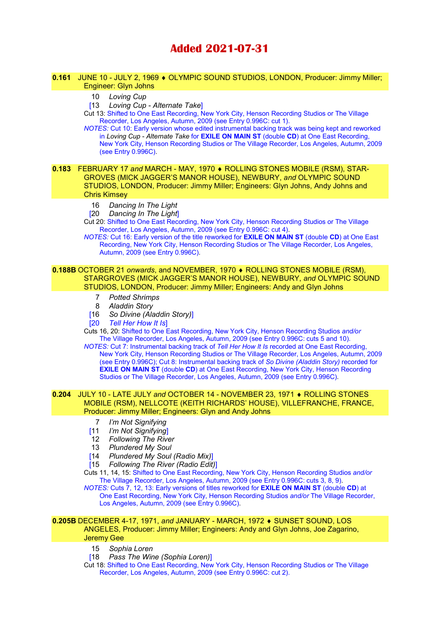# Added 2021-07-31

#### 0.161 JUNE 10 - JULY 2, 1969 ♦ OLYMPIC SOUND STUDIOS, LONDON, Producer: Jimmy Miller; Engineer: Glyn Johns

# 10 Loving Cup

[13 Loving Cup - Alternate Take]

Cut 13: Shifted to One East Recording, New York City, Henson Recording Studios or The Village Recorder, Los Angeles, Autumn, 2009 (see Entry 0.996C: cut 1).

NOTES: Cut 10: Early version whose edited instrumental backing track was being kept and reworked in Loving Cup - Alternate Take for **EXILE ON MAIN ST** (double CD) at One East Recording, New York City, Henson Recording Studios or The Village Recorder, Los Angeles, Autumn, 2009 (see Entry 0.996C).

0.183 FEBRUARY 17 and MARCH - MAY, 1970 ♦ ROLLING STONES MOBILE (RSM), STAR-GROVES (MICK JAGGER'S MANOR HOUSE), NEWBURY, and OLYMPIC SOUND STUDIOS, LONDON, Producer: Jimmy Miller; Engineers: Glyn Johns, Andy Johns and Chris Kimsey

- 16 Dancing In The Light
- [20 Dancing In The Light]

Cut 20: Shifted to One East Recording, New York City, Henson Recording Studios or The Village Recorder, Los Angeles, Autumn, 2009 (see Entry 0.996C: cut 4).

NOTES: Cut 16: Early version of the title reworked for EXILE ON MAIN ST (double CD) at One East Recording, New York City, Henson Recording Studios or The Village Recorder, Los Angeles, Autumn, 2009 (see Entry 0.996C).

#### 0.188B OCTOBER 21 onwards, and NOVEMBER, 1970 ♦ ROLLING STONES MOBILE (RSM), STARGROVES (MICK JAGGER'S MANOR HOUSE), NEWBURY, and OLYMPIC SOUND STUDIOS, LONDON, Producer: Jimmy Miller; Engineers: Andy and Glyn Johns

- 7 Potted Shrimps
- 8 Aladdin Story
- [16 So Divine (Aladdin Story)]
- [20 Tell Her How It Is]

Cuts 16, 20: Shifted to One East Recording, New York City, Henson Recording Studios and/or The Village Recorder, Los Angeles, Autumn, 2009 (see Entry 0.996C: cuts 5 and 10).

NOTES: Cut 7: Instrumental backing track of Tell Her How It Is recorded at One East Recording, New York City, Henson Recording Studios or The Village Recorder, Los Angeles, Autumn, 2009 (see Entry 0.996C); Cut 8: Instrumental backing track of So Divine (Aladdin Story) recorded for EXILE ON MAIN ST (double CD) at One East Recording, New York City, Henson Recording Studios or The Village Recorder, Los Angeles, Autumn, 2009 (see Entry 0.996C).

#### **0.204** JULY 10 - LATE JULY and OCTOBER 14 - NOVEMBER 23, 1971 ♦ ROLLING STONES MOBILE (RSM), NELLCOTE (KEITH RICHARDS' HOUSE), VILLEFRANCHE, FRANCE, Producer: Jimmy Miller; Engineers: Glyn and Andy Johns

- 7 I'm Not Signifying
- [11 *I'm Not Signifying*]
- 12 Following The River
- 13 Plundered My Soul
- [14 Plundered My Soul (Radio Mix)]
- [15 Following The River (Radio Edit)]
- Cuts 11, 14, 15: Shifted to One East Recording, New York City, Henson Recording Studios and/or The Village Recorder, Los Angeles, Autumn, 2009 (see Entry 0.996C: cuts 3, 8, 9).

NOTES: Cuts 7, 12, 13: Early versions of titles reworked for EXILE ON MAIN ST (double CD) at One East Recording, New York City, Henson Recording Studios and/or The Village Recorder, Los Angeles, Autumn, 2009 (see Entry 0.996C).

# 0.205B DECEMBER 4-17, 1971, and JANUARY - MARCH, 1972 ♦ SUNSET SOUND, LOS ANGELES, Producer: Jimmy Miller; Engineers: Andy and Glyn Johns, Joe Zagarino,

# Jeremy Gee

- 15 Sophia Loren
- [18 Pass The Wine (Sophia Loren)]

Cut 18: Shifted to One East Recording, New York City, Henson Recording Studios or The Village Recorder, Los Angeles, Autumn, 2009 (see Entry 0.996C: cut 2).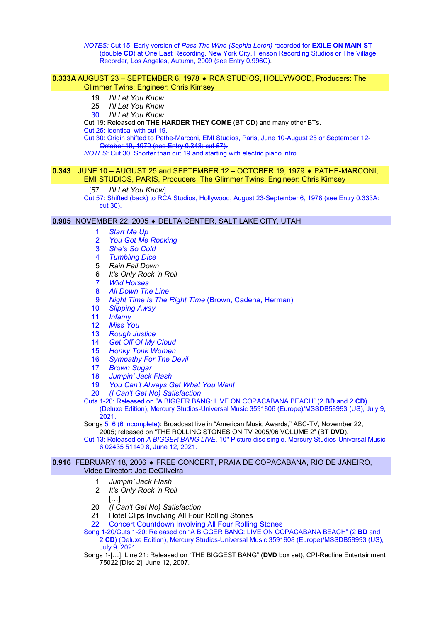NOTES: Cut 15: Early version of Pass The Wine (Sophia Loren) recorded for EXILE ON MAIN ST (double CD) at One East Recording, New York City, Henson Recording Studios or The Village Recorder, Los Angeles, Autumn, 2009 (see Entry 0.996C).

#### 0.333A AUGUST 23 – SEPTEMBER 6, 1978 RCA STUDIOS, HOLLYWOOD, Producers: The Glimmer Twins; Engineer: Chris Kimsey

- 19 *I'll Let You Know*
- 25 I'll Let You Know
- 30 I'll Let You Know

Cut 19: Released on THE HARDER THEY COME (BT CD) and many other BTs.

Cut 25: Identical with cut 19.

Marconi, EMI Studios, Paris, June 10-August 25 or September 12-Cut 30: Origin shifted to Pathe Marconi, EMI Student 30: October 19, 1979 (see Entry 0.343; cut 57).

NOTES: Cut 30: Shorter than cut 19 and starting with electric piano intro.

#### **0.343** JUNE 10 - AUGUST 25 and SEPTEMBER 12 - OCTOBER 19, 1979 ♦ PATHE-MARCONI, EMI STUDIOS, PARIS, Producers: The Glimmer Twins; Engineer: Chris Kimsey

#### [57 *I'll Let You Know*]

Cut 57: Shifted (back) to RCA Studios, Hollywood, August 23-September 6, 1978 (see Entry 0.333A: cut 30).

#### 0.905 NOVEMBER 22, 2005 . DELTA CENTER, SALT LAKE CITY, UTAH

- 1 Start Me Up
- 2 You Got Me Rocking
- 3 She's So Cold
- 4 Tumbling Dice
- 5 Rain Fall Down
- 6 It's Only Rock 'n Roll
- 7 Wild Horses
- 8 All Down The Line
- 9 Night Time Is The Right Time (Brown, Cadena, Herman)
- 10 Slipping Away
- 11 Infamy
- 12 Miss You
- 13 Rough Justice
- 14 Get Off Of My Cloud
- 15 Honky Tonk Women
- 16 Sympathy For The Devil
- 17 Brown Sugar
- 18 Jumpin' Jack Flash
- 19 You Can't Always Get What You Want
- 20 (I Can't Get No) Satisfaction

Cuts 1-20: Released on "A BIGGER BANG: LIVE ON COPACABANA BEACH" (2 BD and 2 CD) (Deluxe Edition), Mercury Studios-Universal Music 3591806 (Europe)/MSSDB58993 (US), July 9, 2021.

Songs 5, 6 (6 incomplete): Broadcast live in "American Music Awards," ABC-TV, November 22, 2005; released on "THE ROLLING STONES ON TV 2005/06 VOLUME 2" (BT DVD).

Cut 13: Released on A BIGGER BANG LIVE, 10" Picture disc single, Mercury Studios-Universal Music 6 02435 51149 8, June 12, 2021.

#### 0.916 FEBRUARY 18, 2006 FREE CONCERT, PRAIA DE COPACABANA, RIO DE JANEIRO, Video Director: Joe DeOliveira

- 1 Jumpin' Jack Flash
- 2 It's Only Rock 'n Roll
- $[...]$
- 20 *(I Can't Get No)* Satisfaction
- 21 Hotel Clips Involving All Four Rolling Stones
- 22 Concert Countdown Involving All Four Rolling Stones

Song 1-20/Cuts 1-20: Released on "A BIGGER BANG: LIVE ON COPACABANA BEACH" (2 BD and 2 CD) (Deluxe Edition), Mercury Studios-Universal Music 3591908 (Europe)/MSSDB58993 (US), July 9, 2021.

Songs 1-[...], Line 21: Released on "THE BIGGEST BANG" (DVD box set), CPI-Redline Entertainment 75022 [Disc 2], June 12, 2007.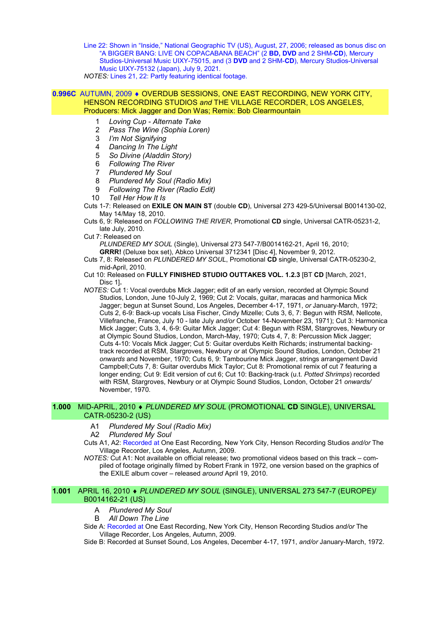Line 22: Shown in "Inside," National Geographic TV (US), August, 27, 2006; released as bonus disc on "A BIGGER BANG: LIVE ON COPACABANA BEACH" (2 BD, DVD and 2 SHM-CD), Mercury Studios-Universal Music UIXY-75015, and (3 DVD and 2 SHM-CD), Mercury Studios-Universal Music UIXY-75132 (Japan), July 9, 2021.

NOTES: Lines 21, 22: Partly featuring identical footage.

## 0.996C AUTUMN, 2009 · OVERDUB SESSIONS, ONE EAST RECORDING, NEW YORK CITY, HENSON RECORDING STUDIOS and THE VILLAGE RECORDER, LOS ANGELES, Producers: Mick Jagger and Don Was; Remix: Bob Clearmountain

- 1 Loving Cup Alternate Take
- 2 Pass The Wine (Sophia Loren)
- 3 I'm Not Signifying
- 4 Dancing In The Light
- 5 So Divine (Aladdin Story)
- 6 Following The River
- 7 Plundered My Soul
- 8 Plundered My Soul (Radio Mix)
- 9 Following The River (Radio Edit)
- 10 Tell Her How It Is

Cuts 1-7: Released on EXILE ON MAIN ST (double CD), Universal 273 429-5/Universal B0014130-02, May 14/May 18, 2010.

Cuts 6, 9: Released on FOLLOWING THE RIVER, Promotional CD single, Universal CATR-05231-2, late July, 2010.

Cut 7: Released on

PLUNDERED MY SOUL (Single), Universal 273 547-7/B0014162-21, April 16, 2010;

GRRR! (Deluxe box set), Abkco Universal 3712341 [Disc 4], November 9, 2012. Cuts 7, 8: Released on PLUNDERED MY SOUL, Promotional CD single, Universal CATR-05230-2, mid-April, 2010.

- Cut 10: Released on FULLY FINISHED STUDIO OUTTAKES VOL. 1.2.3 [BT CD [March, 2021, Disc 1].
- NOTES: Cut 1: Vocal overdubs Mick Jagger; edit of an early version, recorded at Olympic Sound Studios, London, June 10-July 2, 1969; Cut 2: Vocals, guitar, maracas and harmonica Mick Jagger; begun at Sunset Sound, Los Angeles, December 4-17, 1971, or January-March, 1972; Cuts 2, 6-9: Back-up vocals Lisa Fischer, Cindy Mizelle; Cuts 3, 6, 7: Begun with RSM, Nellcote, Villefranche, France, July 10 - late July and/or October 14-November 23, 1971); Cut 3: Harmonica Mick Jagger; Cuts 3, 4, 6-9: Guitar Mick Jagger; Cut 4: Begun with RSM, Stargroves, Newbury or at Olympic Sound Studios, London, March-May, 1970; Cuts 4, 7, 8: Percussion Mick Jagger; Cuts 4-10: Vocals Mick Jagger; Cut 5: Guitar overdubs Keith Richards; instrumental backingtrack recorded at RSM, Stargroves, Newbury or at Olympic Sound Studios, London, October 21 onwards and November, 1970; Cuts 6, 9: Tambourine Mick Jagger, strings arrangement David Campbell;Cuts 7, 8: Guitar overdubs Mick Taylor; Cut 8: Promotional remix of cut 7 featuring a longer ending; Cut 9: Edit version of cut 6; Cut 10: Backing-track (u.t. Potted Shrimps) recorded with RSM, Stargroves, Newbury or at Olympic Sound Studios, London, October 21 onwards/ November, 1970.

#### 1.000 MID-APRIL, 2010 • PLUNDERED MY SOUL (PROMOTIONAL CD SINGLE), UNIVERSAL CATR-05230-2 (US)

- A1 Plundered My Soul (Radio Mix)
- A2 Plundered My Soul

Cuts A1, A2: Recorded at One East Recording, New York City, Henson Recording Studios and/or The Village Recorder, Los Angeles, Autumn, 2009.

NOTES: Cut A1: Not available on official release; two promotional videos based on this track – compiled of footage originally filmed by Robert Frank in 1972, one version based on the graphics of the EXILE album cover – released around April 19, 2010.

## 1.001 APRIL 16, 2010 PLUNDERED MY SOUL (SINGLE), UNIVERSAL 273 547-7 (EUROPE)/ B0014162-21 (US)

- A Plundered My Soul
- B All Down The Line

Side A: Recorded at One East Recording, New York City, Henson Recording Studios and/or The Village Recorder, Los Angeles, Autumn, 2009.

Side B: Recorded at Sunset Sound, Los Angeles, December 4-17, 1971, and/or January-March, 1972.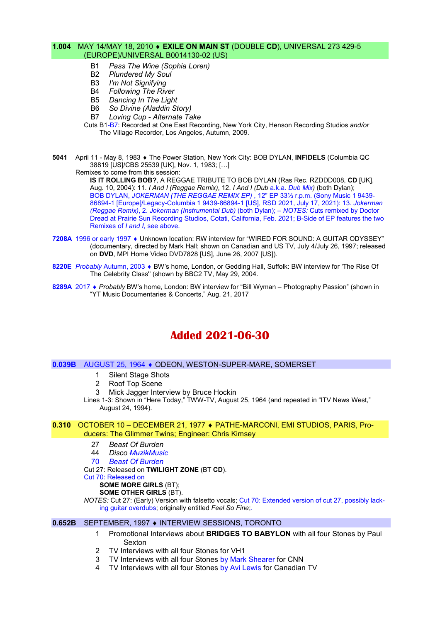# 1.004 MAY 14/MAY 18, 2010 • EXILE ON MAIN ST (DOUBLE CD), UNIVERSAL 273 429-5 (EUROPE)/UNIVERSAL B0014130-02 (US)

- B1 Pass The Wine (Sophia Loren)
- B2 Plundered My Soul
- B3 I'm Not Signifying
- B4 Following The River
- B5 Dancing In The Light
- B6 So Divine (Aladdin Story)
- B7 Loving Cup Alternate Take
- Cuts B1-B7: Recorded at One East Recording, New York City, Henson Recording Studios and/or The Village Recorder, Los Angeles, Autumn, 2009.
- 5041 April 11 May 8, 1983 ♦ The Power Station, New York City: BOB DYLAN, INFIDELS (Columbia QC 38819 [US]/CBS 25539 [UK], Nov. 1, 1983; […] Remixes to come from this session:

IS IT ROLLING BOB?, A REGGAE TRIBUTE TO BOB DYLAN (Ras Rec. RZDDD008, CD [UK], Aug. 10, 2004): 11. I And I (Reggae Remix), 12. I And I (Dub a.k.a. Dub Mix) (both Dylan); BOB DYLAN, JOKERMAN (THE REGGAE REMIX EP) , 12" EP 33⅓ r.p.m. (Sony Music 1 9439- 86894-1 [Europe]/Legacy-Columbia 1 9439-86894-1 [US], RSD 2021, July 17, 2021): 13. Jokerman (Reggae Remix), 2. Jokerman (Instrumental Dub) (both Dylan); – NOTES: Cuts remixed by Doctor Dread at Prairie Sun Recording Studios, Cotati, California, Feb. 2021; B-Side of EP features the two Remixes of I and I, see above.

- 7208A 1996 or early 1997  $\bullet$  Unknown location: RW interview for "WIRED FOR SOUND: A GUITAR ODYSSEY" (documentary, directed by Mark Hall; shown on Canadian and US TV, July 4/July 26, 1997; released on DVD, MPI Home Video DVD7828 [US], June 26, 2007 [US]).
- 8220E Probably Autumn, 2003 BW's home, London, or Gedding Hall, Suffolk: BW interview for 'The Rise Of The Celebrity Class'' (shown by BBC2 TV, May 29, 2004.
- 8289A 2017 Probably BW's home, London: BW interview for "Bill Wyman Photography Passion" (shown in "YT Music Documentaries & Concerts," Aug. 21, 2017

# Added 2021-06-30

#### 0.039B AUGUST 25, 1964 ODEON, WESTON-SUPER-MARE, SOMERSET

- 1 Silent Stage Shots
- 2 Roof Top Scene
- 3 Mick Jagger Interview by Bruce Hockin

Lines 1-3: Shown in "Here Today," TWW-TV, August 25, 1964 (and repeated in "ITV News West," August 24, 1994).

#### 0.310 OCTOBER 10 – DECEMBER 21, 1977 PATHE-MARCONI, EMI STUDIOS, PARIS, Producers: The Glimmer Twins; Engineer: Chris Kimsey

- 27 Beast Of Burden
- 44 Disco MuzikMusic
- 70 Beast Of Burden
- Cut 27: Released on TWILIGHT ZONE (BT CD).
- Cut 70: Released on
	- SOME MORE GIRLS (BT);
	- SOME OTHER GIRLS (BT).

NOTES: Cut 27: (Early) Version with falsetto vocals; Cut 70: Extended version of cut 27, possibly lacking guitar overdubs; originally entitled Feel So Fine;.

# 0.652B SEPTEMBER, 1997 INTERVIEW SESSIONS, TORONTO

- 1 Promotional Interviews about BRIDGES TO BABYLON with all four Stones by Paul Sexton
- 2 TV Interviews with all four Stones for VH1
- 3 TV Interviews with all four Stones by Mark Shearer for CNN
- 4 TV Interviews with all four Stones by Avi Lewis for Canadian TV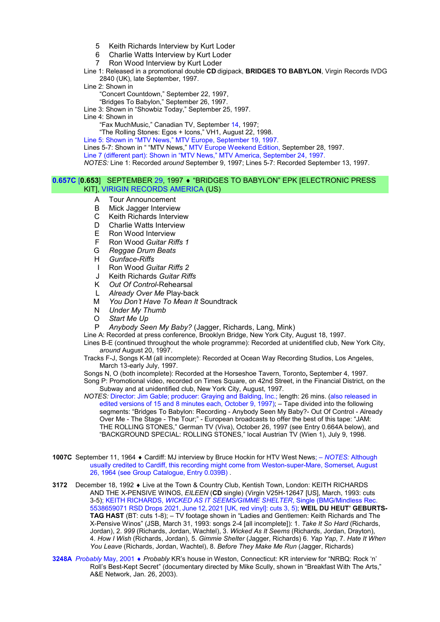- 5 Keith Richards Interview by Kurt Loder
- 6 Charlie Watts Interview by Kurt Loder
- 7 Ron Wood Interview by Kurt Loder

Line 1: Released in a promotional double CD digipack, BRIDGES TO BABYLON, Virgin Records IVDG 2840 (UK), late September, 1997.

Line 2: Shown in

"Concert Countdown," September 22, 1997,

"Bridges To Babylon," September 26, 1997.

Line 3: Shown in "Showbiz Today," September 25, 1997.

Line 4: Shown in

"Fax MuchMusic," Canadian TV, September 14, 1997;

"The Rolling Stones: Egos + Icons," VH1, August 22, 1998.

Line 5: Shown in "MTV News," MTV Europe, September 19, 1997.

Lines 5-7: Shown in " "MTV News," MTV Europe Weekend Edition, September 28, 1997.

Line 7 (different part): Shown in "MTV News," MTV America, September 24, 1997.

NOTES: Line 1: Recorded around September 9, 1997; Lines 5-7: Recorded September 13, 1997.

#### 0.657C [0.653] SEPTEMBER 29, 1997 ♦ "BRIDGES TO BABYLON" EPK [ELECTRONIC PRESS KIT], VIRIGIN RECORDS AMERICA (US)

- A Tour Announcement
- B Mick Jagger Interview
- C Keith Richards Interview
- D Charlie Watts Interview
- E Ron Wood Interview
- F Ron Wood Guitar Riffs 1
- G Reggae Drum Beats
- H Gunface-Riffs
- I Ron Wood Guitar Riffs 2
- J Keith Richards Guitar Riffs
- K Out Of Control-Rehearsal
- L Already Over Me Play-back
- M You Don't Have To Mean It Soundtrack
- N Under My Thumb
- O Start Me Up<br>P Anyhody Se
- Anybody Seen My Baby? (Jagger, Richards, Lang, Mink)

Line A: Recorded at press conference, Brooklyn Bridge, New York City, August 18, 1997.

Lines B-E (continued throughout the whole programme): Recorded at unidentified club, New York City, around August 20, 1997.

Tracks F-J, Songs K-M (all incomplete): Recorded at Ocean Way Recording Studios, Los Angeles, March 13-early July, 1997.

Songs N, O (both incomplete): Recorded at the Horseshoe Tavern, Toronto, September 4, 1997.

Song P: Promotional video, recorded on Times Square, on 42nd Street, in the Financial District, on the Subway and at unidentified club, New York City, August, 1997.

NOTES: Director: Jim Gable; producer: Graying and Balding, Inc.; length: 26 mins. (also released in edited versions of 15 and 8 minutes each, October 9, 1997); – Tape divided into the following segments: "Bridges To Babylon: Recording - Anybody Seen My Baby?- Out Of Control - Already Over Me - The Stage - The Tour;" - European broadcasts to offer the best of this tape: "JAM: THE ROLLING STONES," German TV (Viva), October 26, 1997 (see Entry 0.664A below), and "BACKGROUND SPECIAL: ROLLING STONES," local Austrian TV (Wien 1), July 9, 1998.

- 1007C September 11, 1964 ♦ Cardiff: MJ interview by Bruce Hockin for HTV West News; NOTES: Although usually credited to Cardiff, this recording might come from Weston-super-Mare, Somerset, August 26, 1964 (see Group Catalogue, Entry 0.039B) .
- 3172 December 18, 1992 Live at the Town & Country Club, Kentish Town, London: KEITH RICHARDS AND THE X-PENSIVE WINOS, EILEEN (CD single) (Virgin V25H-12647 [US], March, 1993: cuts 3-5); KEITH RICHARDS, WICKED AS IT SEEMS/GIMME SHELTER, Single (BMG/Mindless Rec. 5538659071 RSD Drops 2021, June 12, 2021 [UK, red vinyl]: cuts 3, 5); WEIL DU HEUT' GEBURTS-TAG HAST (BT: cuts 1-8); – TV footage shown in "Ladies and Gentlemen: Keith Richards and The X-Pensive Winos" (JSB, March 31, 1993: songs 2-4 [all incomplete]): 1. Take It So Hard (Richards, Jordan), 2. 999 (Richards, Jordan, Wachtel), 3. Wicked As It Seems (Richards, Jordan, Drayton), 4. How I Wish (Richards, Jordan), 5. Gimmie Shelter (Jagger, Richards) 6. Yap Yap, 7. Hate It When You Leave (Richards, Jordan, Wachtel), 8. Before They Make Me Run (Jagger, Richards)
- 3248A Probably May, 2001 ♦ Probably KR's house in Weston, Connecticut: KR interview for "NRBQ: Rock 'n' Roll's Best-Kept Secret" (documentary directed by Mike Scully, shown in "Breakfast With The Arts," A&E Network, Jan. 26, 2003).